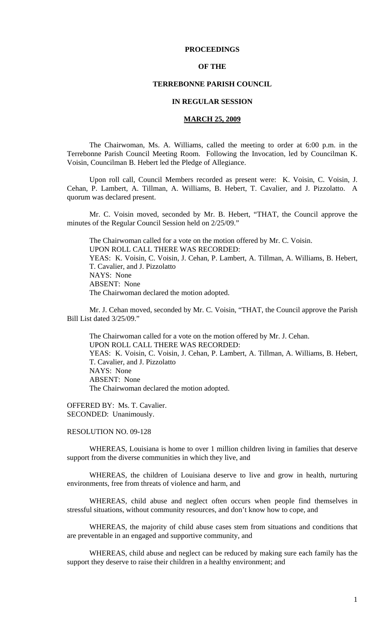# **PROCEEDINGS**

## **OF THE**

## **TERREBONNE PARISH COUNCIL**

## **IN REGULAR SESSION**

### **MARCH 25, 2009**

 The Chairwoman, Ms. A. Williams, called the meeting to order at 6:00 p.m. in the Terrebonne Parish Council Meeting Room. Following the Invocation, led by Councilman K. Voisin, Councilman B. Hebert led the Pledge of Allegiance.

Upon roll call, Council Members recorded as present were: K. Voisin, C. Voisin, J. Cehan, P. Lambert, A. Tillman, A. Williams, B. Hebert, T. Cavalier, and J. Pizzolatto. A quorum was declared present.

Mr. C. Voisin moved, seconded by Mr. B. Hebert, "THAT, the Council approve the minutes of the Regular Council Session held on 2/25/09."

The Chairwoman called for a vote on the motion offered by Mr. C. Voisin. UPON ROLL CALL THERE WAS RECORDED: YEAS: K. Voisin, C. Voisin, J. Cehan, P. Lambert, A. Tillman, A. Williams, B. Hebert, T. Cavalier, and J. Pizzolatto NAYS: None ABSENT: None The Chairwoman declared the motion adopted.

Mr. J. Cehan moved, seconded by Mr. C. Voisin, "THAT, the Council approve the Parish Bill List dated 3/25/09."

The Chairwoman called for a vote on the motion offered by Mr. J. Cehan. UPON ROLL CALL THERE WAS RECORDED: YEAS: K. Voisin, C. Voisin, J. Cehan, P. Lambert, A. Tillman, A. Williams, B. Hebert, T. Cavalier, and J. Pizzolatto NAYS: None ABSENT: None The Chairwoman declared the motion adopted.

OFFERED BY: Ms. T. Cavalier. SECONDED: Unanimously.

RESOLUTION NO. 09-128

 WHEREAS, Louisiana is home to over 1 million children living in families that deserve support from the diverse communities in which they live, and

 WHEREAS, the children of Louisiana deserve to live and grow in health, nurturing environments, free from threats of violence and harm, and

 WHEREAS, child abuse and neglect often occurs when people find themselves in stressful situations, without community resources, and don't know how to cope, and

 WHEREAS, the majority of child abuse cases stem from situations and conditions that are preventable in an engaged and supportive community, and

 WHEREAS, child abuse and neglect can be reduced by making sure each family has the support they deserve to raise their children in a healthy environment; and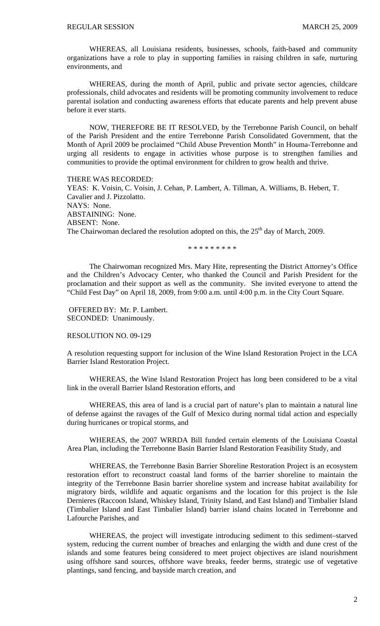WHEREAS, all Louisiana residents, businesses, schools, faith-based and community organizations have a role to play in supporting families in raising children in safe, nurturing environments, and

 WHEREAS, during the month of April, public and private sector agencies, childcare professionals, child advocates and residents will be promoting community involvement to reduce parental isolation and conducting awareness efforts that educate parents and help prevent abuse before it ever starts.

 NOW, THEREFORE BE IT RESOLVED, by the Terrebonne Parish Council, on behalf of the Parish President and the entire Terrebonne Parish Consolidated Government, that the Month of April 2009 be proclaimed "Child Abuse Prevention Month" in Houma-Terrebonne and urging all residents to engage in activities whose purpose is to strengthen families and communities to provide the optimal environment for children to grow health and thrive.

THERE WAS RECORDED: YEAS: K. Voisin, C. Voisin, J. Cehan, P. Lambert, A. Tillman, A. Williams, B. Hebert, T. Cavalier and J. Pizzolatto. NAYS: None. ABSTAINING: None. ABSENT: None. The Chairwoman declared the resolution adopted on this, the  $25<sup>th</sup>$  day of March, 2009.

\* \* \* \* \* \* \* \* \*

 The Chairwoman recognized Mrs. Mary Hite, representing the District Attorney's Office and the Children's Advocacy Center, who thanked the Council and Parish President for the proclamation and their support as well as the community. She invited everyone to attend the "Child Fest Day" on April 18, 2009, from 9:00 a.m. until 4:00 p.m. in the City Court Square.

OFFERED BY: Mr. P. Lambert. SECONDED: Unanimously.

RESOLUTION NO. 09-129

A resolution requesting support for inclusion of the Wine Island Restoration Project in the LCA Barrier Island Restoration Project.

 WHEREAS, the Wine Island Restoration Project has long been considered to be a vital link in the overall Barrier Island Restoration efforts, and

 WHEREAS, this area of land is a crucial part of nature's plan to maintain a natural line of defense against the ravages of the Gulf of Mexico during normal tidal action and especially during hurricanes or tropical storms, and

 WHEREAS, the 2007 WRRDA Bill funded certain elements of the Louisiana Coastal Area Plan, including the Terrebonne Basin Barrier Island Restoration Feasibility Study, and

 WHEREAS, the Terrebonne Basin Barrier Shoreline Restoration Project is an ecosystem restoration effort to reconstruct coastal land forms of the barrier shoreline to maintain the integrity of the Terrebonne Basin barrier shoreline system and increase habitat availability for migratory birds, wildlife and aquatic organisms and the location for this project is the Isle Dernieres (Raccoon Island, Whiskey Island, Trinity Island, and East Island) and Timbalier Island (Timbalier Island and East Timbalier Island) barrier island chains located in Terrebonne and Lafourche Parishes, and

 WHEREAS, the project will investigate introducing sediment to this sediment–starved system, reducing the current number of breaches and enlarging the width and dune crest of the islands and some features being considered to meet project objectives are island nourishment using offshore sand sources, offshore wave breaks, feeder berms, strategic use of vegetative plantings, sand fencing, and bayside march creation, and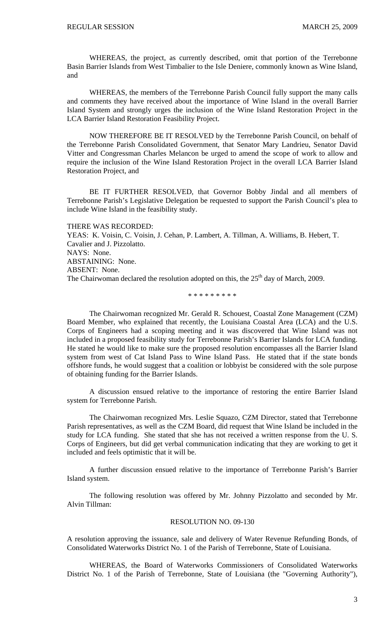WHEREAS, the project, as currently described, omit that portion of the Terrebonne Basin Barrier Islands from West Timbalier to the Isle Deniere, commonly known as Wine Island, and

 WHEREAS, the members of the Terrebonne Parish Council fully support the many calls and comments they have received about the importance of Wine Island in the overall Barrier Island System and strongly urges the inclusion of the Wine Island Restoration Project in the LCA Barrier Island Restoration Feasibility Project.

NOW THEREFORE BE IT RESOLVED by the Terrebonne Parish Council, on behalf of the Terrebonne Parish Consolidated Government, that Senator Mary Landrieu, Senator David Vitter and Congressman Charles Melancon be urged to amend the scope of work to allow and require the inclusion of the Wine Island Restoration Project in the overall LCA Barrier Island Restoration Project, and

 BE IT FURTHER RESOLVED, that Governor Bobby Jindal and all members of Terrebonne Parish's Legislative Delegation be requested to support the Parish Council's plea to include Wine Island in the feasibility study.

THERE WAS RECORDED:

YEAS: K. Voisin, C. Voisin, J. Cehan, P. Lambert, A. Tillman, A. Williams, B. Hebert, T. Cavalier and J. Pizzolatto. NAYS: None. ABSTAINING: None. ABSENT: None. The Chairwoman declared the resolution adopted on this, the 25<sup>th</sup> day of March, 2009.

\* \* \* \* \* \* \* \* \*

 The Chairwoman recognized Mr. Gerald R. Schouest, Coastal Zone Management (CZM) Board Member, who explained that recently, the Louisiana Coastal Area (LCA) and the U.S. Corps of Engineers had a scoping meeting and it was discovered that Wine Island was not included in a proposed feasibility study for Terrebonne Parish's Barrier Islands for LCA funding. He stated he would like to make sure the proposed resolution encompasses all the Barrier Island system from west of Cat Island Pass to Wine Island Pass. He stated that if the state bonds offshore funds, he would suggest that a coalition or lobbyist be considered with the sole purpose of obtaining funding for the Barrier Islands.

 A discussion ensued relative to the importance of restoring the entire Barrier Island system for Terrebonne Parish.

 The Chairwoman recognized Mrs. Leslie Squazo, CZM Director, stated that Terrebonne Parish representatives, as well as the CZM Board, did request that Wine Island be included in the study for LCA funding. She stated that she has not received a written response from the U. S. Corps of Engineers, but did get verbal communication indicating that they are working to get it included and feels optimistic that it will be.

 A further discussion ensued relative to the importance of Terrebonne Parish's Barrier Island system.

The following resolution was offered by Mr. Johnny Pizzolatto and seconded by Mr. Alvin Tillman:

#### RESOLUTION NO. 09-130

A resolution approving the issuance, sale and delivery of Water Revenue Refunding Bonds, of Consolidated Waterworks District No. 1 of the Parish of Terrebonne, State of Louisiana.

WHEREAS, the Board of Waterworks Commissioners of Consolidated Waterworks District No. 1 of the Parish of Terrebonne, State of Louisiana (the "Governing Authority"),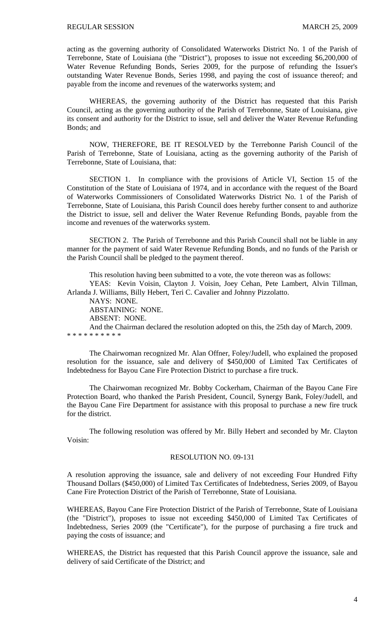acting as the governing authority of Consolidated Waterworks District No. 1 of the Parish of Terrebonne, State of Louisiana (the "District"), proposes to issue not exceeding \$6,200,000 of Water Revenue Refunding Bonds, Series 2009, for the purpose of refunding the Issuer's outstanding Water Revenue Bonds, Series 1998, and paying the cost of issuance thereof; and payable from the income and revenues of the waterworks system; and

WHEREAS, the governing authority of the District has requested that this Parish Council, acting as the governing authority of the Parish of Terrebonne, State of Louisiana, give its consent and authority for the District to issue, sell and deliver the Water Revenue Refunding Bonds; and

NOW, THEREFORE, BE IT RESOLVED by the Terrebonne Parish Council of the Parish of Terrebonne, State of Louisiana, acting as the governing authority of the Parish of Terrebonne, State of Louisiana, that:

SECTION 1. In compliance with the provisions of Article VI, Section 15 of the Constitution of the State of Louisiana of 1974, and in accordance with the request of the Board of Waterworks Commissioners of Consolidated Waterworks District No. 1 of the Parish of Terrebonne, State of Louisiana, this Parish Council does hereby further consent to and authorize the District to issue, sell and deliver the Water Revenue Refunding Bonds, payable from the income and revenues of the waterworks system.

SECTION 2. The Parish of Terrebonne and this Parish Council shall not be liable in any manner for the payment of said Water Revenue Refunding Bonds, and no funds of the Parish or the Parish Council shall be pledged to the payment thereof.

This resolution having been submitted to a vote, the vote thereon was as follows:

YEAS: Kevin Voisin, Clayton J. Voisin, Joey Cehan, Pete Lambert, Alvin Tillman, Arlanda J. Williams, Billy Hebert, Teri C. Cavalier and Johnny Pizzolatto.

NAYS: NONE.

ABSTAINING: NONE.

ABSENT: NONE.

And the Chairman declared the resolution adopted on this, the 25th day of March, 2009. \* \* \* \* \* \* \* \* \* \*

 The Chairwoman recognized Mr. Alan Offner, Foley/Judell, who explained the proposed resolution for the issuance, sale and delivery of \$450,000 of Limited Tax Certificates of Indebtedness for Bayou Cane Fire Protection District to purchase a fire truck.

 The Chairwoman recognized Mr. Bobby Cockerham, Chairman of the Bayou Cane Fire Protection Board, who thanked the Parish President, Council, Synergy Bank, Foley/Judell, and the Bayou Cane Fire Department for assistance with this proposal to purchase a new fire truck for the district.

 The following resolution was offered by Mr. Billy Hebert and seconded by Mr. Clayton Voisin:

## RESOLUTION NO. 09-131

A resolution approving the issuance, sale and delivery of not exceeding Four Hundred Fifty Thousand Dollars (\$450,000) of Limited Tax Certificates of Indebtedness, Series 2009, of Bayou Cane Fire Protection District of the Parish of Terrebonne, State of Louisiana.

WHEREAS, Bayou Cane Fire Protection District of the Parish of Terrebonne, State of Louisiana (the "District"), proposes to issue not exceeding \$450,000 of Limited Tax Certificates of Indebtedness, Series 2009 (the "Certificate"), for the purpose of purchasing a fire truck and paying the costs of issuance; and

WHEREAS, the District has requested that this Parish Council approve the issuance, sale and delivery of said Certificate of the District; and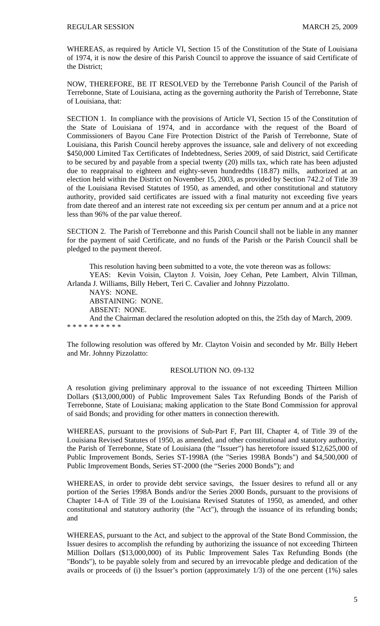WHEREAS, as required by Article VI, Section 15 of the Constitution of the State of Louisiana of 1974, it is now the desire of this Parish Council to approve the issuance of said Certificate of the District;

NOW, THEREFORE, BE IT RESOLVED by the Terrebonne Parish Council of the Parish of Terrebonne, State of Louisiana, acting as the governing authority the Parish of Terrebonne, State of Louisiana, that:

SECTION 1. In compliance with the provisions of Article VI, Section 15 of the Constitution of the State of Louisiana of 1974, and in accordance with the request of the Board of Commissioners of Bayou Cane Fire Protection District of the Parish of Terrebonne, State of Louisiana, this Parish Council hereby approves the issuance, sale and delivery of not exceeding \$450,000 Limited Tax Certificates of Indebtedness, Series 2009, of said District, said Certificate to be secured by and payable from a special twenty (20) mills tax, which rate has been adjusted due to reappraisal to eighteen and eighty-seven hundredths (18.87) mills, authorized at an election held within the District on November 15, 2003, as provided by Section 742.2 of Title 39 of the Louisiana Revised Statutes of 1950, as amended, and other constitutional and statutory authority, provided said certificates are issued with a final maturity not exceeding five years from date thereof and an interest rate not exceeding six per centum per annum and at a price not less than 96% of the par value thereof.

SECTION 2. The Parish of Terrebonne and this Parish Council shall not be liable in any manner for the payment of said Certificate, and no funds of the Parish or the Parish Council shall be pledged to the payment thereof.

This resolution having been submitted to a vote, the vote thereon was as follows:

YEAS: Kevin Voisin, Clayton J. Voisin, Joey Cehan, Pete Lambert, Alvin Tillman, Arlanda J. Williams, Billy Hebert, Teri C. Cavalier and Johnny Pizzolatto.

NAYS: NONE.

ABSTAINING: NONE.

ABSENT: NONE.

And the Chairman declared the resolution adopted on this, the 25th day of March, 2009. \* \* \* \* \* \* \* \* \* \*

The following resolution was offered by Mr. Clayton Voisin and seconded by Mr. Billy Hebert and Mr. Johnny Pizzolatto:

# RESOLUTION NO. 09-132

A resolution giving preliminary approval to the issuance of not exceeding Thirteen Million Dollars (\$13,000,000) of Public Improvement Sales Tax Refunding Bonds of the Parish of Terrebonne, State of Louisiana; making application to the State Bond Commission for approval of said Bonds; and providing for other matters in connection therewith.

WHEREAS, pursuant to the provisions of Sub-Part F, Part III, Chapter 4, of Title 39 of the Louisiana Revised Statutes of 1950, as amended, and other constitutional and statutory authority, the Parish of Terrebonne, State of Louisiana (the "Issuer") has heretofore issued \$12,625,000 of Public Improvement Bonds, Series ST-1998A (the "Series 1998A Bonds") and \$4,500,000 of Public Improvement Bonds, Series ST-2000 (the "Series 2000 Bonds"); and

WHEREAS, in order to provide debt service savings, the Issuer desires to refund all or any portion of the Series 1998A Bonds and/or the Series 2000 Bonds, pursuant to the provisions of Chapter 14-A of Title 39 of the Louisiana Revised Statutes of 1950, as amended, and other constitutional and statutory authority (the "Act"), through the issuance of its refunding bonds; and

WHEREAS, pursuant to the Act, and subject to the approval of the State Bond Commission, the Issuer desires to accomplish the refunding by authorizing the issuance of not exceeding Thirteen Million Dollars (\$13,000,000) of its Public Improvement Sales Tax Refunding Bonds (the "Bonds"), to be payable solely from and secured by an irrevocable pledge and dedication of the avails or proceeds of (i) the Issuer's portion (approximately 1/3) of the one percent (1%) sales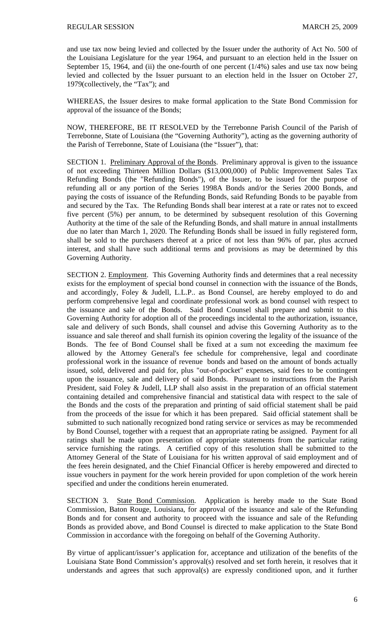and use tax now being levied and collected by the Issuer under the authority of Act No. 500 of the Louisiana Legislature for the year 1964, and pursuant to an election held in the Issuer on September 15, 1964, and (ii) the one-fourth of one percent  $(1/4%)$  sales and use tax now being levied and collected by the Issuer pursuant to an election held in the Issuer on October 27, 1979(collectively, the "Tax"); and

WHEREAS, the Issuer desires to make formal application to the State Bond Commission for approval of the issuance of the Bonds;

NOW, THEREFORE, BE IT RESOLVED by the Terrebonne Parish Council of the Parish of Terrebonne, State of Louisiana (the "Governing Authority"), acting as the governing authority of the Parish of Terrebonne, State of Louisiana (the "Issuer"), that:

SECTION 1. Preliminary Approval of the Bonds. Preliminary approval is given to the issuance of not exceeding Thirteen Million Dollars (\$13,000,000) of Public Improvement Sales Tax Refunding Bonds (the "Refunding Bonds"), of the Issuer, to be issued for the purpose of refunding all or any portion of the Series 1998A Bonds and/or the Series 2000 Bonds, and paying the costs of issuance of the Refunding Bonds, said Refunding Bonds to be payable from and secured by the Tax. The Refunding Bonds shall bear interest at a rate or rates not to exceed five percent (5%) per annum, to be determined by subsequent resolution of this Governing Authority at the time of the sale of the Refunding Bonds, and shall mature in annual installments due no later than March 1, 2020. The Refunding Bonds shall be issued in fully registered form, shall be sold to the purchasers thereof at a price of not less than 96% of par, plus accrued interest, and shall have such additional terms and provisions as may be determined by this Governing Authority.

SECTION 2. Employment. This Governing Authority finds and determines that a real necessity exists for the employment of special bond counsel in connection with the issuance of the Bonds, and accordingly, Foley & Judell, L.L.P.. as Bond Counsel, are hereby employed to do and perform comprehensive legal and coordinate professional work as bond counsel with respect to the issuance and sale of the Bonds. Said Bond Counsel shall prepare and submit to this Governing Authority for adoption all of the proceedings incidental to the authorization, issuance, sale and delivery of such Bonds, shall counsel and advise this Governing Authority as to the issuance and sale thereof and shall furnish its opinion covering the legality of the issuance of the Bonds. The fee of Bond Counsel shall be fixed at a sum not exceeding the maximum fee allowed by the Attorney General's fee schedule for comprehensive, legal and coordinate professional work in the issuance of revenue bonds and based on the amount of bonds actually issued, sold, delivered and paid for, plus "out-of-pocket" expenses, said fees to be contingent upon the issuance, sale and delivery of said Bonds. Pursuant to instructions from the Parish President, said Foley & Judell, LLP shall also assist in the preparation of an official statement containing detailed and comprehensive financial and statistical data with respect to the sale of the Bonds and the costs of the preparation and printing of said official statement shall be paid from the proceeds of the issue for which it has been prepared. Said official statement shall be submitted to such nationally recognized bond rating service or services as may be recommended by Bond Counsel, together with a request that an appropriate rating be assigned. Payment for all ratings shall be made upon presentation of appropriate statements from the particular rating service furnishing the ratings. A certified copy of this resolution shall be submitted to the Attorney General of the State of Louisiana for his written approval of said employment and of the fees herein designated, and the Chief Financial Officer is hereby empowered and directed to issue vouchers in payment for the work herein provided for upon completion of the work herein specified and under the conditions herein enumerated.

SECTION 3. State Bond Commission. Application is hereby made to the State Bond Commission, Baton Rouge, Louisiana, for approval of the issuance and sale of the Refunding Bonds and for consent and authority to proceed with the issuance and sale of the Refunding Bonds as provided above, and Bond Counsel is directed to make application to the State Bond Commission in accordance with the foregoing on behalf of the Governing Authority.

By virtue of applicant/issuer's application for, acceptance and utilization of the benefits of the Louisiana State Bond Commission's approval(s) resolved and set forth herein, it resolves that it understands and agrees that such approval(s) are expressly conditioned upon, and it further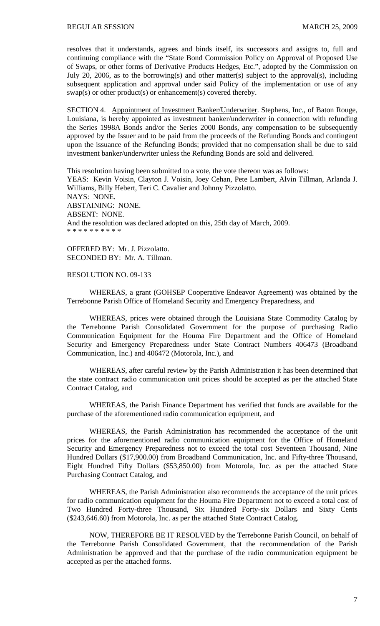resolves that it understands, agrees and binds itself, its successors and assigns to, full and continuing compliance with the "State Bond Commission Policy on Approval of Proposed Use of Swaps, or other forms of Derivative Products Hedges, Etc.", adopted by the Commission on July 20, 2006, as to the borrowing(s) and other matter(s) subject to the approval(s), including subsequent application and approval under said Policy of the implementation or use of any swap(s) or other product(s) or enhancement(s) covered thereby.

SECTION 4. Appointment of Investment Banker/Underwriter. Stephens, Inc., of Baton Rouge, Louisiana, is hereby appointed as investment banker/underwriter in connection with refunding the Series 1998A Bonds and/or the Series 2000 Bonds, any compensation to be subsequently approved by the Issuer and to be paid from the proceeds of the Refunding Bonds and contingent upon the issuance of the Refunding Bonds; provided that no compensation shall be due to said investment banker/underwriter unless the Refunding Bonds are sold and delivered.

This resolution having been submitted to a vote, the vote thereon was as follows: YEAS: Kevin Voisin, Clayton J. Voisin, Joey Cehan, Pete Lambert, Alvin Tillman, Arlanda J. Williams, Billy Hebert, Teri C. Cavalier and Johnny Pizzolatto. NAYS: NONE. ABSTAINING: NONE. ABSENT: NONE. And the resolution was declared adopted on this, 25th day of March, 2009. \* \* \* \* \* \* \* \* \* \*

OFFERED BY: Mr. J. Pizzolatto. SECONDED BY: Mr. A. Tillman.

## RESOLUTION NO. 09-133

 WHEREAS, a grant (GOHSEP Cooperative Endeavor Agreement) was obtained by the Terrebonne Parish Office of Homeland Security and Emergency Preparedness, and

 WHEREAS, prices were obtained through the Louisiana State Commodity Catalog by the Terrebonne Parish Consolidated Government for the purpose of purchasing Radio Communication Equipment for the Houma Fire Department and the Office of Homeland Security and Emergency Preparedness under State Contract Numbers 406473 (Broadband Communication, Inc.) and 406472 (Motorola, Inc.), and

 WHEREAS, after careful review by the Parish Administration it has been determined that the state contract radio communication unit prices should be accepted as per the attached State Contract Catalog, and

 WHEREAS, the Parish Finance Department has verified that funds are available for the purchase of the aforementioned radio communication equipment, and

 WHEREAS, the Parish Administration has recommended the acceptance of the unit prices for the aforementioned radio communication equipment for the Office of Homeland Security and Emergency Preparedness not to exceed the total cost Seventeen Thousand, Nine Hundred Dollars (\$17,900.00) from Broadband Communication, Inc. and Fifty-three Thousand, Eight Hundred Fifty Dollars (\$53,850.00) from Motorola, Inc. as per the attached State Purchasing Contract Catalog, and

 WHEREAS, the Parish Administration also recommends the acceptance of the unit prices for radio communication equipment for the Houma Fire Department not to exceed a total cost of Two Hundred Forty-three Thousand, Six Hundred Forty-six Dollars and Sixty Cents (\$243,646.60) from Motorola, Inc. as per the attached State Contract Catalog.

 NOW, THEREFORE BE IT RESOLVED by the Terrebonne Parish Council, on behalf of the Terrebonne Parish Consolidated Government, that the recommendation of the Parish Administration be approved and that the purchase of the radio communication equipment be accepted as per the attached forms.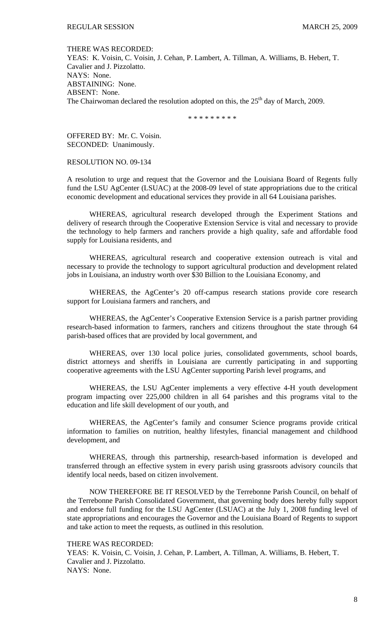#### THERE WAS RECORDED:

YEAS: K. Voisin, C. Voisin, J. Cehan, P. Lambert, A. Tillman, A. Williams, B. Hebert, T. Cavalier and J. Pizzolatto. NAYS: None. ABSTAINING: None. ABSENT: None. The Chairwoman declared the resolution adopted on this, the  $25<sup>th</sup>$  day of March, 2009.

\* \* \* \* \* \* \* \* \*

OFFERED BY: Mr. C. Voisin. SECONDED: Unanimously.

## RESOLUTION NO. 09-134

A resolution to urge and request that the Governor and the Louisiana Board of Regents fully fund the LSU AgCenter (LSUAC) at the 2008-09 level of state appropriations due to the critical economic development and educational services they provide in all 64 Louisiana parishes.

 WHEREAS, agricultural research developed through the Experiment Stations and delivery of research through the Cooperative Extension Service is vital and necessary to provide the technology to help farmers and ranchers provide a high quality, safe and affordable food supply for Louisiana residents, and

 WHEREAS, agricultural research and cooperative extension outreach is vital and necessary to provide the technology to support agricultural production and development related jobs in Louisiana, an industry worth over \$30 Billion to the Louisiana Economy, and

 WHEREAS, the AgCenter's 20 off-campus research stations provide core research support for Louisiana farmers and ranchers, and

 WHEREAS, the AgCenter's Cooperative Extension Service is a parish partner providing research-based information to farmers, ranchers and citizens throughout the state through 64 parish-based offices that are provided by local government, and

 WHEREAS, over 130 local police juries, consolidated governments, school boards, district attorneys and sheriffs in Louisiana are currently participating in and supporting cooperative agreements with the LSU AgCenter supporting Parish level programs, and

 WHEREAS, the LSU AgCenter implements a very effective 4-H youth development program impacting over 225,000 children in all 64 parishes and this programs vital to the education and life skill development of our youth, and

 WHEREAS, the AgCenter's family and consumer Science programs provide critical information to families on nutrition, healthy lifestyles, financial management and childhood development, and

 WHEREAS, through this partnership, research-based information is developed and transferred through an effective system in every parish using grassroots advisory councils that identify local needs, based on citizen involvement.

NOW THEREFORE BE IT RESOLVED by the Terrebonne Parish Council, on behalf of the Terrebonne Parish Consolidated Government, that governing body does hereby fully support and endorse full funding for the LSU AgCenter (LSUAC) at the July 1, 2008 funding level of state appropriations and encourages the Governor and the Louisiana Board of Regents to support and take action to meet the requests, as outlined in this resolution.

#### THERE WAS RECORDED:

YEAS: K. Voisin, C. Voisin, J. Cehan, P. Lambert, A. Tillman, A. Williams, B. Hebert, T. Cavalier and J. Pizzolatto. NAYS: None.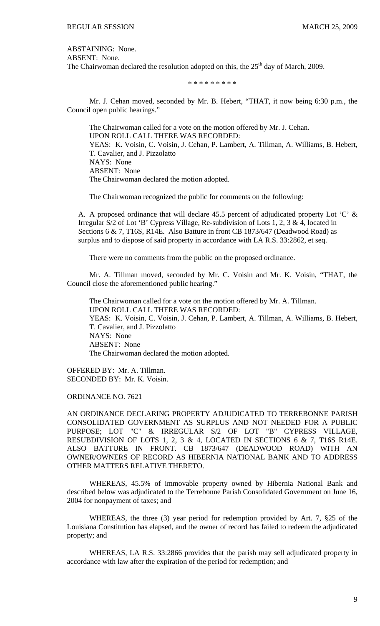ABSTAINING: None.

ABSENT: None.

The Chairwoman declared the resolution adopted on this, the  $25<sup>th</sup>$  day of March, 2009.

\* \* \* \* \* \* \* \* \*

 Mr. J. Cehan moved, seconded by Mr. B. Hebert, "THAT, it now being 6:30 p.m., the Council open public hearings."

 The Chairwoman called for a vote on the motion offered by Mr. J. Cehan. UPON ROLL CALL THERE WAS RECORDED: YEAS: K. Voisin, C. Voisin, J. Cehan, P. Lambert, A. Tillman, A. Williams, B. Hebert, T. Cavalier, and J. Pizzolatto NAYS: None ABSENT: None The Chairwoman declared the motion adopted.

The Chairwoman recognized the public for comments on the following:

A. A proposed ordinance that will declare 45.5 percent of adjudicated property Lot 'C' & Irregular S/2 of Lot 'B' Cypress Village, Re-subdivision of Lots 1, 2, 3 & 4, located in Sections 6 & 7, T16S, R14E. Also Batture in front CB 1873/647 (Deadwood Road) as surplus and to dispose of said property in accordance with LA R.S. 33:2862, et seq.

There were no comments from the public on the proposed ordinance.

 Mr. A. Tillman moved, seconded by Mr. C. Voisin and Mr. K. Voisin, "THAT, the Council close the aforementioned public hearing."

 The Chairwoman called for a vote on the motion offered by Mr. A. Tillman. UPON ROLL CALL THERE WAS RECORDED: YEAS: K. Voisin, C. Voisin, J. Cehan, P. Lambert, A. Tillman, A. Williams, B. Hebert, T. Cavalier, and J. Pizzolatto NAYS: None ABSENT: None The Chairwoman declared the motion adopted.

OFFERED BY: Mr. A. Tillman. SECONDED BY: Mr. K. Voisin.

ORDINANCE NO. 7621

AN ORDINANCE DECLARING PROPERTY ADJUDICATED TO TERREBONNE PARISH CONSOLIDATED GOVERNMENT AS SURPLUS AND NOT NEEDED FOR A PUBLIC PURPOSE; LOT "C" & IRREGULAR S/2 OF LOT "B" CYPRESS VILLAGE, RESUBDIVISION OF LOTS 1, 2, 3 & 4, LOCATED IN SECTIONS 6 & 7, T16S R14E. ALSO BATTURE IN FRONT. CB 1873/647 (DEADWOOD ROAD) WITH AN OWNER/OWNERS OF RECORD AS HIBERNIA NATIONAL BANK AND TO ADDRESS OTHER MATTERS RELATIVE THERETO.

 WHEREAS, 45.5% of immovable property owned by Hibernia National Bank and described below was adjudicated to the Terrebonne Parish Consolidated Government on June 16, 2004 for nonpayment of taxes; and

 WHEREAS, the three (3) year period for redemption provided by Art. 7, §25 of the Louisiana Constitution has elapsed, and the owner of record has failed to redeem the adjudicated property; and

 WHEREAS, LA R.S. 33:2866 provides that the parish may sell adjudicated property in accordance with law after the expiration of the period for redemption; and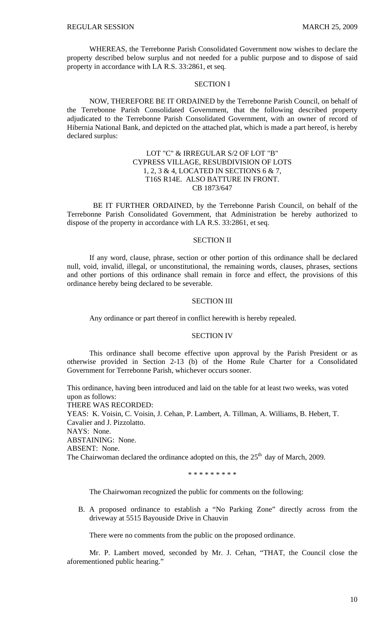WHEREAS, the Terrebonne Parish Consolidated Government now wishes to declare the property described below surplus and not needed for a public purpose and to dispose of said property in accordance with LA R.S. 33:2861, et seq.

### SECTION I

NOW, THEREFORE BE IT ORDAINED by the Terrebonne Parish Council, on behalf of the Terrebonne Parish Consolidated Government, that the following described property adjudicated to the Terrebonne Parish Consolidated Government, with an owner of record of Hibernia National Bank, and depicted on the attached plat, which is made a part hereof, is hereby declared surplus:

# LOT "C" & IRREGULAR S/2 OF LOT "B" CYPRESS VILLAGE, RESUBDIVISION OF LOTS 1, 2, 3 & 4, LOCATED IN SECTIONS 6 & 7, T16S R14E. ALSO BATTURE IN FRONT. CB 1873/647

 BE IT FURTHER ORDAINED, by the Terrebonne Parish Council, on behalf of the Terrebonne Parish Consolidated Government, that Administration be hereby authorized to dispose of the property in accordance with LA R.S. 33:2861, et seq.

## SECTION II

If any word, clause, phrase, section or other portion of this ordinance shall be declared null, void, invalid, illegal, or unconstitutional, the remaining words, clauses, phrases, sections and other portions of this ordinance shall remain in force and effect, the provisions of this ordinance hereby being declared to be severable.

### SECTION III

Any ordinance or part thereof in conflict herewith is hereby repealed.

## SECTION IV

This ordinance shall become effective upon approval by the Parish President or as otherwise provided in Section 2-13 (b) of the Home Rule Charter for a Consolidated Government for Terrebonne Parish, whichever occurs sooner.

This ordinance, having been introduced and laid on the table for at least two weeks, was voted upon as follows: THERE WAS RECORDED: YEAS: K. Voisin, C. Voisin, J. Cehan, P. Lambert, A. Tillman, A. Williams, B. Hebert, T. Cavalier and J. Pizzolatto.

NAYS: None.

ABSTAINING: None. ABSENT: None. The Chairwoman declared the ordinance adopted on this, the  $25<sup>th</sup>$  day of March, 2009.

#### \* \* \* \* \* \* \* \* \*

The Chairwoman recognized the public for comments on the following:

B. A proposed ordinance to establish a "No Parking Zone" directly across from the driveway at 5515 Bayouside Drive in Chauvin

There were no comments from the public on the proposed ordinance.

 Mr. P. Lambert moved, seconded by Mr. J. Cehan, "THAT, the Council close the aforementioned public hearing."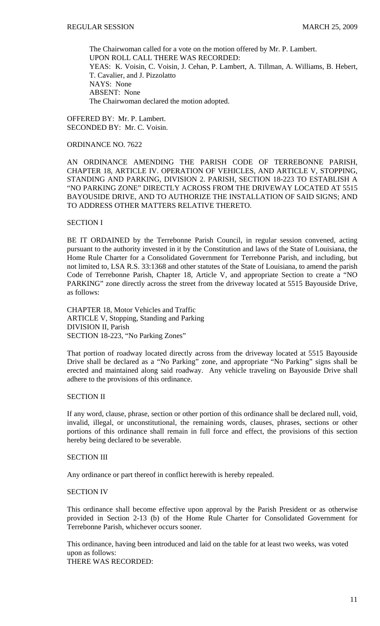The Chairwoman called for a vote on the motion offered by Mr. P. Lambert. UPON ROLL CALL THERE WAS RECORDED: YEAS: K. Voisin, C. Voisin, J. Cehan, P. Lambert, A. Tillman, A. Williams, B. Hebert, T. Cavalier, and J. Pizzolatto NAYS: None ABSENT: None The Chairwoman declared the motion adopted.

OFFERED BY: Mr. P. Lambert. SECONDED BY: Mr. C. Voisin.

## ORDINANCE NO. 7622

AN ORDINANCE AMENDING THE PARISH CODE OF TERREBONNE PARISH, CHAPTER 18, ARTICLE IV. OPERATION OF VEHICLES, AND ARTICLE V, STOPPING, STANDING AND PARKING, DIVISION 2. PARISH, SECTION 18-223 TO ESTABLISH A "NO PARKING ZONE" DIRECTLY ACROSS FROM THE DRIVEWAY LOCATED AT 5515 BAYOUSIDE DRIVE, AND TO AUTHORIZE THE INSTALLATION OF SAID SIGNS; AND TO ADDRESS OTHER MATTERS RELATIVE THERETO.

### SECTION I

BE IT ORDAINED by the Terrebonne Parish Council, in regular session convened, acting pursuant to the authority invested in it by the Constitution and laws of the State of Louisiana, the Home Rule Charter for a Consolidated Government for Terrebonne Parish, and including, but not limited to, LSA R.S. 33:1368 and other statutes of the State of Louisiana, to amend the parish Code of Terrebonne Parish, Chapter 18, Article V, and appropriate Section to create a "NO PARKING" zone directly across the street from the driveway located at 5515 Bayouside Drive, as follows:

CHAPTER 18, Motor Vehicles and Traffic ARTICLE V, Stopping, Standing and Parking DIVISION II, Parish SECTION 18-223, "No Parking Zones"

That portion of roadway located directly across from the driveway located at 5515 Bayouside Drive shall be declared as a "No Parking" zone, and appropriate "No Parking" signs shall be erected and maintained along said roadway. Any vehicle traveling on Bayouside Drive shall adhere to the provisions of this ordinance.

# SECTION II

If any word, clause, phrase, section or other portion of this ordinance shall be declared null, void, invalid, illegal, or unconstitutional, the remaining words, clauses, phrases, sections or other portions of this ordinance shall remain in full force and effect, the provisions of this section hereby being declared to be severable.

#### SECTION III

Any ordinance or part thereof in conflict herewith is hereby repealed.

#### SECTION IV

This ordinance shall become effective upon approval by the Parish President or as otherwise provided in Section 2-13 (b) of the Home Rule Charter for Consolidated Government for Terrebonne Parish, whichever occurs sooner.

This ordinance, having been introduced and laid on the table for at least two weeks, was voted upon as follows: THERE WAS RECORDED: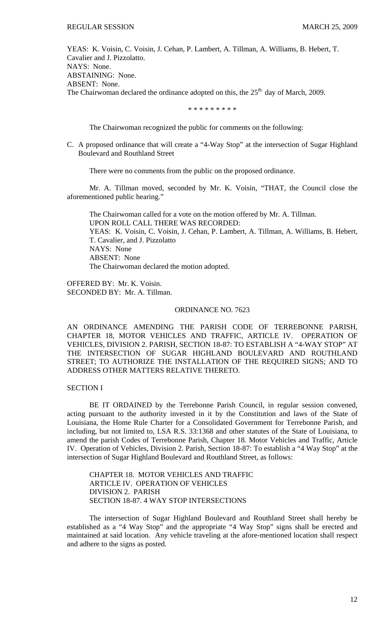YEAS: K. Voisin, C. Voisin, J. Cehan, P. Lambert, A. Tillman, A. Williams, B. Hebert, T. Cavalier and J. Pizzolatto. NAYS: None. ABSTAINING: None. ABSENT: None. The Chairwoman declared the ordinance adopted on this, the  $25<sup>th</sup>$  day of March, 2009.

\* \* \* \* \* \* \* \* \*

The Chairwoman recognized the public for comments on the following:

C. A proposed ordinance that will create a "4-Way Stop" at the intersection of Sugar Highland Boulevard and Routhland Street

There were no comments from the public on the proposed ordinance.

 Mr. A. Tillman moved, seconded by Mr. K. Voisin, "THAT, the Council close the aforementioned public hearing."

 The Chairwoman called for a vote on the motion offered by Mr. A. Tillman. UPON ROLL CALL THERE WAS RECORDED: YEAS: K. Voisin, C. Voisin, J. Cehan, P. Lambert, A. Tillman, A. Williams, B. Hebert, T. Cavalier, and J. Pizzolatto NAYS: None ABSENT: None The Chairwoman declared the motion adopted.

OFFERED BY: Mr. K. Voisin. SECONDED BY: Mr. A. Tillman.

# ORDINANCE NO. 7623

AN ORDINANCE AMENDING THE PARISH CODE OF TERREBONNE PARISH, CHAPTER 18, MOTOR VEHICLES AND TRAFFIC, ARTICLE IV. OPERATION OF VEHICLES, DIVISION 2. PARISH, SECTION 18-87: TO ESTABLISH A "4-WAY STOP" AT THE INTERSECTION OF SUGAR HIGHLAND BOULEVARD AND ROUTHLAND STREET; TO AUTHORIZE THE INSTALLATION OF THE REQUIRED SIGNS; AND TO ADDRESS OTHER MATTERS RELATIVE THERETO.

# SECTION I

BE IT ORDAINED by the Terrebonne Parish Council, in regular session convened, acting pursuant to the authority invested in it by the Constitution and laws of the State of Louisiana, the Home Rule Charter for a Consolidated Government for Terrebonne Parish, and including, but not limited to, LSA R.S. 33:1368 and other statutes of the State of Louisiana, to amend the parish Codes of Terrebonne Parish, Chapter 18. Motor Vehicles and Traffic, Article IV. Operation of Vehicles, Division 2. Parish, Section 18-87: To establish a "4 Way Stop" at the intersection of Sugar Highland Boulevard and Routhland Street, as follows:

CHAPTER 18. MOTOR VEHICLES AND TRAFFIC ARTICLE IV. OPERATION OF VEHICLES DIVISION 2. PARISH SECTION 18-87. 4 WAY STOP INTERSECTIONS

 The intersection of Sugar Highland Boulevard and Routhland Street shall hereby be established as a "4 Way Stop" and the appropriate "4 Way Stop" signs shall be erected and maintained at said location. Any vehicle traveling at the afore-mentioned location shall respect and adhere to the signs as posted.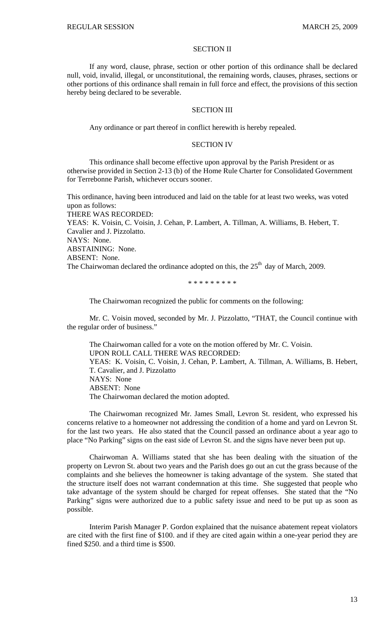### SECTION II

If any word, clause, phrase, section or other portion of this ordinance shall be declared null, void, invalid, illegal, or unconstitutional, the remaining words, clauses, phrases, sections or other portions of this ordinance shall remain in full force and effect, the provisions of this section hereby being declared to be severable.

#### SECTION III

Any ordinance or part thereof in conflict herewith is hereby repealed.

#### SECTION IV

This ordinance shall become effective upon approval by the Parish President or as otherwise provided in Section 2-13 (b) of the Home Rule Charter for Consolidated Government for Terrebonne Parish, whichever occurs sooner.

This ordinance, having been introduced and laid on the table for at least two weeks, was voted upon as follows: THERE WAS RECORDED: YEAS: K. Voisin, C. Voisin, J. Cehan, P. Lambert, A. Tillman, A. Williams, B. Hebert, T. Cavalier and J. Pizzolatto. NAYS: None. ABSTAINING: None. ABSENT: None. The Chairwoman declared the ordinance adopted on this, the  $25<sup>th</sup>$  day of March, 2009.

\* \* \* \* \* \* \* \* \*

The Chairwoman recognized the public for comments on the following:

 Mr. C. Voisin moved, seconded by Mr. J. Pizzolatto, "THAT, the Council continue with the regular order of business."

 The Chairwoman called for a vote on the motion offered by Mr. C. Voisin. UPON ROLL CALL THERE WAS RECORDED: YEAS: K. Voisin, C. Voisin, J. Cehan, P. Lambert, A. Tillman, A. Williams, B. Hebert, T. Cavalier, and J. Pizzolatto NAYS: None ABSENT: None The Chairwoman declared the motion adopted.

 The Chairwoman recognized Mr. James Small, Levron St. resident, who expressed his concerns relative to a homeowner not addressing the condition of a home and yard on Levron St. for the last two years. He also stated that the Council passed an ordinance about a year ago to place "No Parking" signs on the east side of Levron St. and the signs have never been put up.

 Chairwoman A. Williams stated that she has been dealing with the situation of the property on Levron St. about two years and the Parish does go out an cut the grass because of the complaints and she believes the homeowner is taking advantage of the system. She stated that the structure itself does not warrant condemnation at this time. She suggested that people who take advantage of the system should be charged for repeat offenses. She stated that the "No Parking" signs were authorized due to a public safety issue and need to be put up as soon as possible.

 Interim Parish Manager P. Gordon explained that the nuisance abatement repeat violators are cited with the first fine of \$100. and if they are cited again within a one-year period they are fined \$250. and a third time is \$500.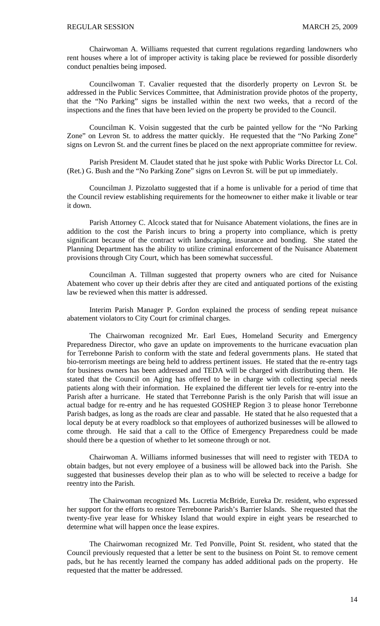Chairwoman A. Williams requested that current regulations regarding landowners who rent houses where a lot of improper activity is taking place be reviewed for possible disorderly conduct penalties being imposed.

 Councilwoman T. Cavalier requested that the disorderly property on Levron St. be addressed in the Public Services Committee, that Administration provide photos of the property, that the "No Parking" signs be installed within the next two weeks, that a record of the inspections and the fines that have been levied on the property be provided to the Council.

 Councilman K. Voisin suggested that the curb be painted yellow for the "No Parking Zone" on Levron St. to address the matter quickly. He requested that the "No Parking Zone" signs on Levron St. and the current fines be placed on the next appropriate committee for review.

 Parish President M. Claudet stated that he just spoke with Public Works Director Lt. Col. (Ret.) G. Bush and the "No Parking Zone" signs on Levron St. will be put up immediately.

 Councilman J. Pizzolatto suggested that if a home is unlivable for a period of time that the Council review establishing requirements for the homeowner to either make it livable or tear it down.

 Parish Attorney C. Alcock stated that for Nuisance Abatement violations, the fines are in addition to the cost the Parish incurs to bring a property into compliance, which is pretty significant because of the contract with landscaping, insurance and bonding. She stated the Planning Department has the ability to utilize criminal enforcement of the Nuisance Abatement provisions through City Court, which has been somewhat successful.

 Councilman A. Tillman suggested that property owners who are cited for Nuisance Abatement who cover up their debris after they are cited and antiquated portions of the existing law be reviewed when this matter is addressed.

 Interim Parish Manager P. Gordon explained the process of sending repeat nuisance abatement violators to City Court for criminal charges.

 The Chairwoman recognized Mr. Earl Eues, Homeland Security and Emergency Preparedness Director, who gave an update on improvements to the hurricane evacuation plan for Terrebonne Parish to conform with the state and federal governments plans. He stated that bio-terrorism meetings are being held to address pertinent issues. He stated that the re-entry tags for business owners has been addressed and TEDA will be charged with distributing them. He stated that the Council on Aging has offered to be in charge with collecting special needs patients along with their information. He explained the different tier levels for re-entry into the Parish after a hurricane. He stated that Terrebonne Parish is the only Parish that will issue an actual badge for re-entry and he has requested GOSHEP Region 3 to please honor Terrebonne Parish badges, as long as the roads are clear and passable. He stated that he also requested that a local deputy be at every roadblock so that employees of authorized businesses will be allowed to come through. He said that a call to the Office of Emergency Preparedness could be made should there be a question of whether to let someone through or not.

 Chairwoman A. Williams informed businesses that will need to register with TEDA to obtain badges, but not every employee of a business will be allowed back into the Parish. She suggested that businesses develop their plan as to who will be selected to receive a badge for reentry into the Parish.

 The Chairwoman recognized Ms. Lucretia McBride, Eureka Dr. resident, who expressed her support for the efforts to restore Terrebonne Parish's Barrier Islands. She requested that the twenty-five year lease for Whiskey Island that would expire in eight years be researched to determine what will happen once the lease expires.

 The Chairwoman recognized Mr. Ted Ponville, Point St. resident, who stated that the Council previously requested that a letter be sent to the business on Point St. to remove cement pads, but he has recently learned the company has added additional pads on the property. He requested that the matter be addressed.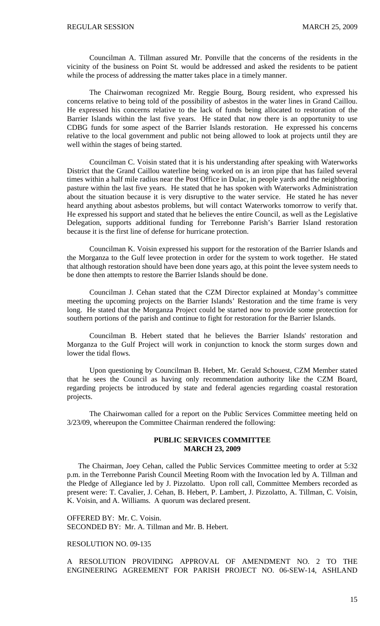Councilman A. Tillman assured Mr. Ponville that the concerns of the residents in the vicinity of the business on Point St. would be addressed and asked the residents to be patient while the process of addressing the matter takes place in a timely manner.

 The Chairwoman recognized Mr. Reggie Bourg, Bourg resident, who expressed his concerns relative to being told of the possibility of asbestos in the water lines in Grand Caillou. He expressed his concerns relative to the lack of funds being allocated to restoration of the Barrier Islands within the last five years. He stated that now there is an opportunity to use CDBG funds for some aspect of the Barrier Islands restoration. He expressed his concerns relative to the local government and public not being allowed to look at projects until they are well within the stages of being started.

 Councilman C. Voisin stated that it is his understanding after speaking with Waterworks District that the Grand Caillou waterline being worked on is an iron pipe that has failed several times within a half mile radius near the Post Office in Dulac, in people yards and the neighboring pasture within the last five years. He stated that he has spoken with Waterworks Administration about the situation because it is very disruptive to the water service. He stated he has never heard anything about asbestos problems, but will contact Waterworks tomorrow to verify that. He expressed his support and stated that he believes the entire Council, as well as the Legislative Delegation, supports additional funding for Terrebonne Parish's Barrier Island restoration because it is the first line of defense for hurricane protection.

 Councilman K. Voisin expressed his support for the restoration of the Barrier Islands and the Morganza to the Gulf levee protection in order for the system to work together. He stated that although restoration should have been done years ago, at this point the levee system needs to be done then attempts to restore the Barrier Islands should be done.

 Councilman J. Cehan stated that the CZM Director explained at Monday's committee meeting the upcoming projects on the Barrier Islands' Restoration and the time frame is very long. He stated that the Morganza Project could be started now to provide some protection for southern portions of the parish and continue to fight for restoration for the Barrier Islands.

 Councilman B. Hebert stated that he believes the Barrier Islands' restoration and Morganza to the Gulf Project will work in conjunction to knock the storm surges down and lower the tidal flows.

 Upon questioning by Councilman B. Hebert, Mr. Gerald Schouest, CZM Member stated that he sees the Council as having only recommendation authority like the CZM Board, regarding projects be introduced by state and federal agencies regarding coastal restoration projects.

 The Chairwoman called for a report on the Public Services Committee meeting held on 3/23/09, whereupon the Committee Chairman rendered the following:

## **PUBLIC SERVICES COMMITTEE MARCH 23, 2009**

 The Chairman, Joey Cehan, called the Public Services Committee meeting to order at 5:32 p.m. in the Terrebonne Parish Council Meeting Room with the Invocation led by A. Tillman and the Pledge of Allegiance led by J. Pizzolatto. Upon roll call, Committee Members recorded as present were: T. Cavalier, J. Cehan, B. Hebert, P. Lambert, J. Pizzolatto, A. Tillman, C. Voisin, K. Voisin, and A. Williams. A quorum was declared present.

OFFERED BY: Mr. C. Voisin. SECONDED BY: Mr. A. Tillman and Mr. B. Hebert.

### RESOLUTION NO. 09-135

A RESOLUTION PROVIDING APPROVAL OF AMENDMENT NO. 2 TO THE ENGINEERING AGREEMENT FOR PARISH PROJECT NO. 06-SEW-14, ASHLAND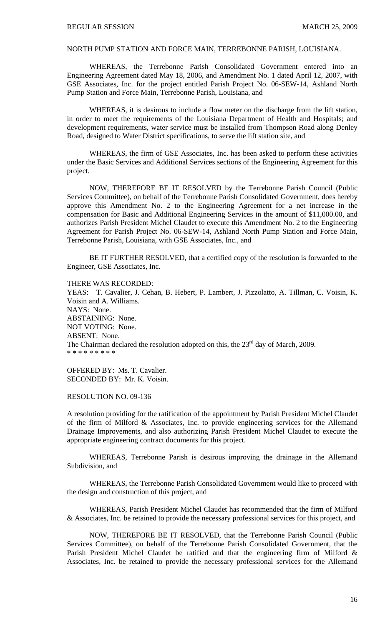# NORTH PUMP STATION AND FORCE MAIN, TERREBONNE PARISH, LOUISIANA.

 WHEREAS, the Terrebonne Parish Consolidated Government entered into an Engineering Agreement dated May 18, 2006, and Amendment No. 1 dated April 12, 2007, with GSE Associates, Inc. for the project entitled Parish Project No. 06-SEW-14, Ashland North Pump Station and Force Main, Terrebonne Parish, Louisiana, and

 WHEREAS, it is desirous to include a flow meter on the discharge from the lift station, in order to meet the requirements of the Louisiana Department of Health and Hospitals; and development requirements, water service must be installed from Thompson Road along Denley Road, designed to Water District specifications, to serve the lift station site, and

 WHEREAS, the firm of GSE Associates, Inc. has been asked to perform these activities under the Basic Services and Additional Services sections of the Engineering Agreement for this project.

 NOW, THEREFORE BE IT RESOLVED by the Terrebonne Parish Council (Public Services Committee), on behalf of the Terrebonne Parish Consolidated Government, does hereby approve this Amendment No. 2 to the Engineering Agreement for a net increase in the compensation for Basic and Additional Engineering Services in the amount of \$11,000.00, and authorizes Parish President Michel Claudet to execute this Amendment No. 2 to the Engineering Agreement for Parish Project No. 06-SEW-14, Ashland North Pump Station and Force Main, Terrebonne Parish, Louisiana, with GSE Associates, Inc., and

 BE IT FURTHER RESOLVED, that a certified copy of the resolution is forwarded to the Engineer, GSE Associates, Inc.

THERE WAS RECORDED:

YEAS: T. Cavalier, J. Cehan, B. Hebert, P. Lambert, J. Pizzolatto, A. Tillman, C. Voisin, K. Voisin and A. Williams. NAYS: None. ABSTAINING: None. NOT VOTING: None. ABSENT: None. The Chairman declared the resolution adopted on this, the  $23<sup>rd</sup>$  day of March, 2009. \* \* \* \* \* \* \* \*

OFFERED BY: Ms. T. Cavalier. SECONDED BY: Mr. K. Voisin.

RESOLUTION NO. 09-136

A resolution providing for the ratification of the appointment by Parish President Michel Claudet of the firm of Milford & Associates, Inc. to provide engineering services for the Allemand Drainage Improvements, and also authorizing Parish President Michel Claudet to execute the appropriate engineering contract documents for this project.

WHEREAS, Terrebonne Parish is desirous improving the drainage in the Allemand Subdivision, and

WHEREAS, the Terrebonne Parish Consolidated Government would like to proceed with the design and construction of this project, and

WHEREAS, Parish President Michel Claudet has recommended that the firm of Milford & Associates, Inc. be retained to provide the necessary professional services for this project, and

NOW, THEREFORE BE IT RESOLVED, that the Terrebonne Parish Council (Public Services Committee), on behalf of the Terrebonne Parish Consolidated Government, that the Parish President Michel Claudet be ratified and that the engineering firm of Milford & Associates, Inc. be retained to provide the necessary professional services for the Allemand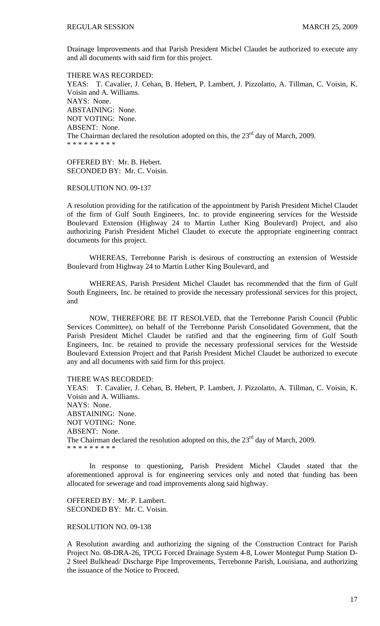Drainage Improvements and that Parish President Michel Claudet be authorized to execute any and all documents with said firm for this project.

THERE WAS RECORDED: YEAS: T. Cavalier, J. Cehan, B. Hebert, P. Lambert, J. Pizzolatto, A. Tillman, C. Voisin, K. Voisin and A. Williams. NAYS: None. ABSTAINING: None. NOT VOTING: None. ABSENT: None. The Chairman declared the resolution adopted on this, the  $23<sup>rd</sup>$  day of March, 2009. \* \* \* \* \* \* \* \* \*

OFFERED BY: Mr. B. Hebert. SECONDED BY: Mr. C. Voisin.

### RESOLUTION NO. 09-137

A resolution providing for the ratification of the appointment by Parish President Michel Claudet of the firm of Gulf South Engineers, Inc. to provide engineering services for the Westside Boulevard Extension (Highway 24 to Martin Luther King Boulevard) Project, and also authorizing Parish President Michel Claudet to execute the appropriate engineering contract documents for this project.

WHEREAS, Terrebonne Parish is desirous of constructing an extension of Westside Boulevard from Highway 24 to Martin Luther King Boulevard, and

WHEREAS, Parish President Michel Claudet has recommended that the firm of Gulf South Engineers, Inc. be retained to provide the necessary professional services for this project, and

NOW, THEREFORE BE IT RESOLVED, that the Terrebonne Parish Council (Public Services Committee), on behalf of the Terrebonne Parish Consolidated Government, that the Parish President Michel Claudet be ratified and that the engineering firm of Gulf South Engineers, Inc. be retained to provide the necessary professional services for the Westside Boulevard Extension Project and that Parish President Michel Claudet be authorized to execute any and all documents with said firm for this project.

## THERE WAS RECORDED:

YEAS: T. Cavalier, J. Cehan, B. Hebert, P. Lambert, J. Pizzolatto, A. Tillman, C. Voisin, K. Voisin and A. Williams. NAYS: None. ABSTAINING: None. NOT VOTING: None. ABSENT: None. The Chairman declared the resolution adopted on this, the  $23<sup>rd</sup>$  day of March, 2009. \* \* \* \* \* \* \* \* \*

 In response to questioning, Parish President Michel Claudet stated that the aforementioned approval is for engineering services only and noted that funding has been allocated for sewerage and road improvements along said highway.

OFFERED BY: Mr. P. Lambert. SECONDED BY: Mr. C. Voisin.

#### RESOLUTION NO. 09-138

A Resolution awarding and authorizing the signing of the Construction Contract for Parish Project No. 08-DRA-26, TPCG Forced Drainage System 4-8, Lower Montegut Pump Station D-2 Steel Bulkhead/ Discharge Pipe Improvements, Terrebonne Parish, Louisiana, and authorizing the issuance of the Notice to Proceed.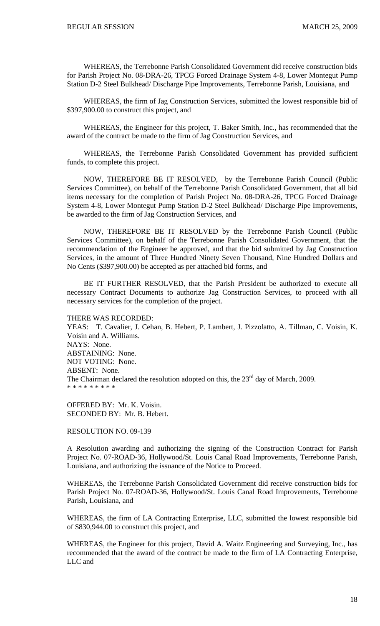WHEREAS, the Terrebonne Parish Consolidated Government did receive construction bids for Parish Project No. 08-DRA-26, TPCG Forced Drainage System 4-8, Lower Montegut Pump Station D-2 Steel Bulkhead/ Discharge Pipe Improvements, Terrebonne Parish, Louisiana, and

WHEREAS, the firm of Jag Construction Services, submitted the lowest responsible bid of \$397,900.00 to construct this project, and

WHEREAS, the Engineer for this project, T. Baker Smith, Inc., has recommended that the award of the contract be made to the firm of Jag Construction Services, and

WHEREAS, the Terrebonne Parish Consolidated Government has provided sufficient funds, to complete this project.

NOW, THEREFORE BE IT RESOLVED, by the Terrebonne Parish Council (Public Services Committee), on behalf of the Terrebonne Parish Consolidated Government, that all bid items necessary for the completion of Parish Project No. 08-DRA-26, TPCG Forced Drainage System 4-8, Lower Montegut Pump Station D-2 Steel Bulkhead/ Discharge Pipe Improvements, be awarded to the firm of Jag Construction Services, and

NOW, THEREFORE BE IT RESOLVED by the Terrebonne Parish Council (Public Services Committee), on behalf of the Terrebonne Parish Consolidated Government, that the recommendation of the Engineer be approved, and that the bid submitted by Jag Construction Services, in the amount of Three Hundred Ninety Seven Thousand, Nine Hundred Dollars and No Cents (\$397,900.00) be accepted as per attached bid forms, and

BE IT FURTHER RESOLVED, that the Parish President be authorized to execute all necessary Contract Documents to authorize Jag Construction Services, to proceed with all necessary services for the completion of the project.

THERE WAS RECORDED:

YEAS: T. Cavalier, J. Cehan, B. Hebert, P. Lambert, J. Pizzolatto, A. Tillman, C. Voisin, K. Voisin and A. Williams. NAYS: None. ABSTAINING: None. NOT VOTING: None. ABSENT: None. The Chairman declared the resolution adopted on this, the  $23<sup>rd</sup>$  day of March, 2009. \* \* \* \* \* \* \* \* \*

OFFERED BY: Mr. K. Voisin. SECONDED BY: Mr. B. Hebert.

RESOLUTION NO. 09-139

A Resolution awarding and authorizing the signing of the Construction Contract for Parish Project No. 07-ROAD-36, Hollywood/St. Louis Canal Road Improvements, Terrebonne Parish, Louisiana, and authorizing the issuance of the Notice to Proceed.

WHEREAS, the Terrebonne Parish Consolidated Government did receive construction bids for Parish Project No. 07-ROAD-36, Hollywood/St. Louis Canal Road Improvements, Terrebonne Parish, Louisiana, and

WHEREAS, the firm of LA Contracting Enterprise, LLC, submitted the lowest responsible bid of \$830,944.00 to construct this project, and

WHEREAS, the Engineer for this project, David A. Waitz Engineering and Surveying, Inc., has recommended that the award of the contract be made to the firm of LA Contracting Enterprise, LLC and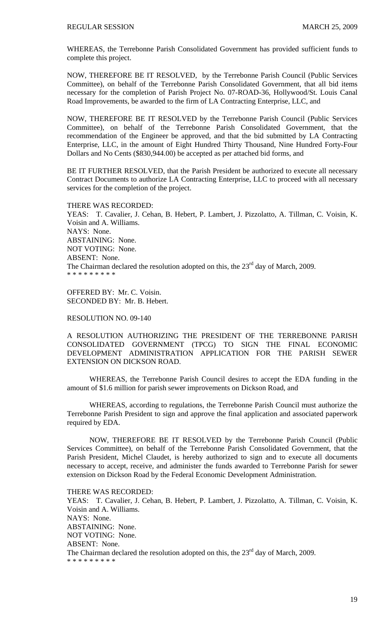WHEREAS, the Terrebonne Parish Consolidated Government has provided sufficient funds to complete this project.

NOW, THEREFORE BE IT RESOLVED, by the Terrebonne Parish Council (Public Services Committee), on behalf of the Terrebonne Parish Consolidated Government, that all bid items necessary for the completion of Parish Project No. 07-ROAD-36, Hollywood/St. Louis Canal Road Improvements, be awarded to the firm of LA Contracting Enterprise, LLC, and

NOW, THEREFORE BE IT RESOLVED by the Terrebonne Parish Council (Public Services Committee), on behalf of the Terrebonne Parish Consolidated Government, that the recommendation of the Engineer be approved, and that the bid submitted by LA Contracting Enterprise, LLC, in the amount of Eight Hundred Thirty Thousand, Nine Hundred Forty-Four Dollars and No Cents (\$830,944.00) be accepted as per attached bid forms, and

BE IT FURTHER RESOLVED, that the Parish President be authorized to execute all necessary Contract Documents to authorize LA Contracting Enterprise, LLC to proceed with all necessary services for the completion of the project.

#### THERE WAS RECORDED:

YEAS: T. Cavalier, J. Cehan, B. Hebert, P. Lambert, J. Pizzolatto, A. Tillman, C. Voisin, K. Voisin and A. Williams. NAYS: None. ABSTAINING: None. NOT VOTING: None. ABSENT: None. The Chairman declared the resolution adopted on this, the  $23<sup>rd</sup>$  day of March, 2009. \* \* \* \* \* \* \* \* \*

OFFERED BY: Mr. C. Voisin. SECONDED BY: Mr. B. Hebert.

## RESOLUTION NO. 09-140

A RESOLUTION AUTHORIZING THE PRESIDENT OF THE TERREBONNE PARISH CONSOLIDATED GOVERNMENT (TPCG) TO SIGN THE FINAL ECONOMIC DEVELOPMENT ADMINISTRATION APPLICATION FOR THE PARISH SEWER EXTENSION ON DICKSON ROAD.

 WHEREAS, the Terrebonne Parish Council desires to accept the EDA funding in the amount of \$1.6 million for parish sewer improvements on Dickson Road, and

 WHEREAS, according to regulations, the Terrebonne Parish Council must authorize the Terrebonne Parish President to sign and approve the final application and associated paperwork required by EDA.

 NOW, THEREFORE BE IT RESOLVED by the Terrebonne Parish Council (Public Services Committee), on behalf of the Terrebonne Parish Consolidated Government, that the Parish President, Michel Claudet, is hereby authorized to sign and to execute all documents necessary to accept, receive, and administer the funds awarded to Terrebonne Parish for sewer extension on Dickson Road by the Federal Economic Development Administration.

THERE WAS RECORDED: YEAS: T. Cavalier, J. Cehan, B. Hebert, P. Lambert, J. Pizzolatto, A. Tillman, C. Voisin, K. Voisin and A. Williams. NAYS: None. ABSTAINING: None. NOT VOTING: None. ABSENT: None. The Chairman declared the resolution adopted on this, the  $23<sup>rd</sup>$  day of March, 2009. \* \* \* \* \* \* \* \* \*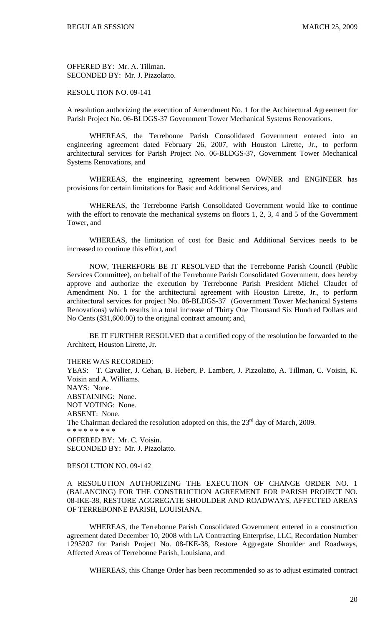OFFERED BY: Mr. A. Tillman. SECONDED BY: Mr. J. Pizzolatto.

## RESOLUTION NO. 09-141

A resolution authorizing the execution of Amendment No. 1 for the Architectural Agreement for Parish Project No. 06-BLDGS-37 Government Tower Mechanical Systems Renovations.

 WHEREAS, the Terrebonne Parish Consolidated Government entered into an engineering agreement dated February 26, 2007, with Houston Lirette, Jr., to perform architectural services for Parish Project No. 06-BLDGS-37, Government Tower Mechanical Systems Renovations, and

 WHEREAS, the engineering agreement between OWNER and ENGINEER has provisions for certain limitations for Basic and Additional Services, and

 WHEREAS, the Terrebonne Parish Consolidated Government would like to continue with the effort to renovate the mechanical systems on floors 1, 2, 3, 4 and 5 of the Government Tower, and

 WHEREAS, the limitation of cost for Basic and Additional Services needs to be increased to continue this effort, and

 NOW, THEREFORE BE IT RESOLVED that the Terrebonne Parish Council (Public Services Committee), on behalf of the Terrebonne Parish Consolidated Government, does hereby approve and authorize the execution by Terrebonne Parish President Michel Claudet of Amendment No. 1 for the architectural agreement with Houston Lirette, Jr., to perform architectural services for project No. 06-BLDGS-37 (Government Tower Mechanical Systems Renovations) which results in a total increase of Thirty One Thousand Six Hundred Dollars and No Cents (\$31,600.00) to the original contract amount; and,

 BE IT FURTHER RESOLVED that a certified copy of the resolution be forwarded to the Architect, Houston Lirette, Jr.

THERE WAS RECORDED:

YEAS: T. Cavalier, J. Cehan, B. Hebert, P. Lambert, J. Pizzolatto, A. Tillman, C. Voisin, K. Voisin and A. Williams. NAYS: None. ABSTAINING: None. NOT VOTING: None. ABSENT: None. The Chairman declared the resolution adopted on this, the  $23<sup>rd</sup>$  day of March, 2009. \* \* \* \* \* \* \* \* \* OFFERED BY: Mr. C. Voisin. SECONDED BY: Mr. J. Pizzolatto.

## RESOLUTION NO. 09-142

A RESOLUTION AUTHORIZING THE EXECUTION OF CHANGE ORDER NO. 1 (BALANCING) FOR THE CONSTRUCTION AGREEMENT FOR PARISH PROJECT NO. 08-IKE-38, RESTORE AGGREGATE SHOULDER AND ROADWAYS, AFFECTED AREAS OF TERREBONNE PARISH, LOUISIANA.

 WHEREAS, the Terrebonne Parish Consolidated Government entered in a construction agreement dated December 10, 2008 with LA Contracting Enterprise, LLC, Recordation Number 1295207 for Parish Project No. 08-IKE-38, Restore Aggregate Shoulder and Roadways, Affected Areas of Terrebonne Parish, Louisiana, and

WHEREAS, this Change Order has been recommended so as to adjust estimated contract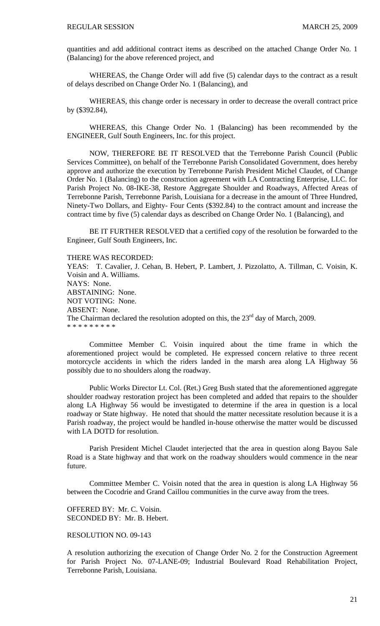quantities and add additional contract items as described on the attached Change Order No. 1 (Balancing) for the above referenced project, and

 WHEREAS, the Change Order will add five (5) calendar days to the contract as a result of delays described on Change Order No. 1 (Balancing), and

 WHEREAS, this change order is necessary in order to decrease the overall contract price by (\$392.84),

 WHEREAS, this Change Order No. 1 (Balancing) has been recommended by the ENGINEER, Gulf South Engineers, Inc. for this project.

 NOW, THEREFORE BE IT RESOLVED that the Terrebonne Parish Council (Public Services Committee), on behalf of the Terrebonne Parish Consolidated Government, does hereby approve and authorize the execution by Terrebonne Parish President Michel Claudet, of Change Order No. 1 (Balancing) to the construction agreement with LA Contracting Enterprise, LLC. for Parish Project No. 08-IKE-38, Restore Aggregate Shoulder and Roadways, Affected Areas of Terrebonne Parish, Terrebonne Parish, Louisiana for a decrease in the amount of Three Hundred, Ninety-Two Dollars, and Eighty- Four Cents (\$392.84) to the contract amount and increase the contract time by five (5) calendar days as described on Change Order No. 1 (Balancing), and

 BE IT FURTHER RESOLVED that a certified copy of the resolution be forwarded to the Engineer, Gulf South Engineers, Inc.

THERE WAS RECORDED:

YEAS: T. Cavalier, J. Cehan, B. Hebert, P. Lambert, J. Pizzolatto, A. Tillman, C. Voisin, K. Voisin and A. Williams. NAYS: None. ABSTAINING: None. NOT VOTING: None. ABSENT: None. The Chairman declared the resolution adopted on this, the  $23<sup>rd</sup>$  day of March, 2009. \* \* \* \* \* \* \* \* \*

 Committee Member C. Voisin inquired about the time frame in which the aforementioned project would be completed. He expressed concern relative to three recent motorcycle accidents in which the riders landed in the marsh area along LA Highway 56 possibly due to no shoulders along the roadway.

 Public Works Director Lt. Col. (Ret.) Greg Bush stated that the aforementioned aggregate shoulder roadway restoration project has been completed and added that repairs to the shoulder along LA Highway 56 would be investigated to determine if the area in question is a local roadway or State highway. He noted that should the matter necessitate resolution because it is a Parish roadway, the project would be handled in-house otherwise the matter would be discussed with LA DOTD for resolution.

 Parish President Michel Claudet interjected that the area in question along Bayou Sale Road is a State highway and that work on the roadway shoulders would commence in the near future.

 Committee Member C. Voisin noted that the area in question is along LA Highway 56 between the Cocodrie and Grand Caillou communities in the curve away from the trees.

OFFERED BY: Mr. C. Voisin. SECONDED BY: Mr. B. Hebert.

#### RESOLUTION NO. 09-143

A resolution authorizing the execution of Change Order No. 2 for the Construction Agreement for Parish Project No. 07-LANE-09; Industrial Boulevard Road Rehabilitation Project, Terrebonne Parish, Louisiana.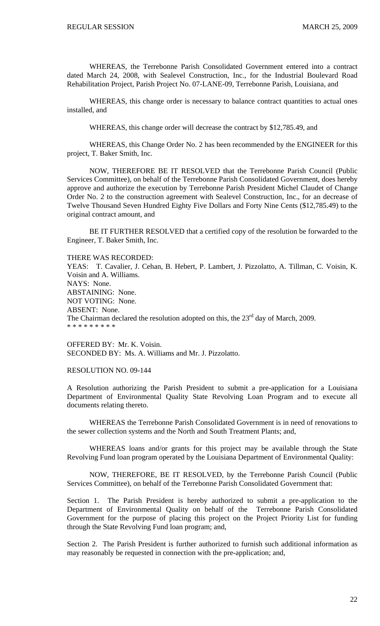WHEREAS, the Terrebonne Parish Consolidated Government entered into a contract dated March 24, 2008, with Sealevel Construction, Inc., for the Industrial Boulevard Road Rehabilitation Project, Parish Project No. 07-LANE-09, Terrebonne Parish, Louisiana, and

WHEREAS, this change order is necessary to balance contract quantities to actual ones installed, and

WHEREAS, this change order will decrease the contract by \$12,785.49, and

 WHEREAS, this Change Order No. 2 has been recommended by the ENGINEER for this project, T. Baker Smith, Inc.

 NOW, THEREFORE BE IT RESOLVED that the Terrebonne Parish Council (Public Services Committee), on behalf of the Terrebonne Parish Consolidated Government, does hereby approve and authorize the execution by Terrebonne Parish President Michel Claudet of Change Order No. 2 to the construction agreement with Sealevel Construction, Inc., for an decrease of Twelve Thousand Seven Hundred Eighty Five Dollars and Forty Nine Cents (\$12,785.49) to the original contract amount, and

 BE IT FURTHER RESOLVED that a certified copy of the resolution be forwarded to the Engineer, T. Baker Smith, Inc.

THERE WAS RECORDED:

YEAS: T. Cavalier, J. Cehan, B. Hebert, P. Lambert, J. Pizzolatto, A. Tillman, C. Voisin, K. Voisin and A. Williams. NAYS: None. ABSTAINING: None. NOT VOTING: None. ABSENT: None. The Chairman declared the resolution adopted on this, the  $23<sup>rd</sup>$  day of March, 2009. \* \* \* \* \* \* \* \* \*

OFFERED BY: Mr. K. Voisin. SECONDED BY: Ms. A. Williams and Mr. J. Pizzolatto.

RESOLUTION NO. 09-144

A Resolution authorizing the Parish President to submit a pre-application for a Louisiana Department of Environmental Quality State Revolving Loan Program and to execute all documents relating thereto.

 WHEREAS the Terrebonne Parish Consolidated Government is in need of renovations to the sewer collection systems and the North and South Treatment Plants; and,

 WHEREAS loans and/or grants for this project may be available through the State Revolving Fund loan program operated by the Louisiana Department of Environmental Quality:

 NOW, THEREFORE, BE IT RESOLVED, by the Terrebonne Parish Council (Public Services Committee), on behalf of the Terrebonne Parish Consolidated Government that:

Section 1. The Parish President is hereby authorized to submit a pre-application to the Department of Environmental Quality on behalf of the Terrebonne Parish Consolidated Government for the purpose of placing this project on the Project Priority List for funding through the State Revolving Fund loan program; and,

Section 2. The Parish President is further authorized to furnish such additional information as may reasonably be requested in connection with the pre-application; and,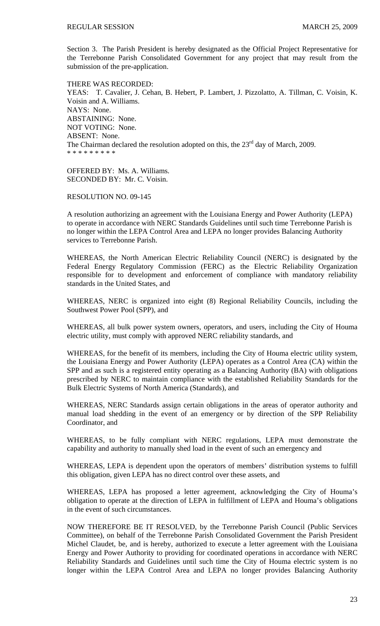Section 3. The Parish President is hereby designated as the Official Project Representative for the Terrebonne Parish Consolidated Government for any project that may result from the submission of the pre-application.

THERE WAS RECORDED: YEAS: T. Cavalier, J. Cehan, B. Hebert, P. Lambert, J. Pizzolatto, A. Tillman, C. Voisin, K. Voisin and A. Williams. NAYS: None. ABSTAINING: None. NOT VOTING: None. ABSENT: None. The Chairman declared the resolution adopted on this, the  $23<sup>rd</sup>$  day of March, 2009. \* \* \* \* \* \* \* \* \*

OFFERED BY: Ms. A. Williams. SECONDED BY: Mr. C. Voisin.

RESOLUTION NO. 09-145

A resolution authorizing an agreement with the Louisiana Energy and Power Authority (LEPA) to operate in accordance with NERC Standards Guidelines until such time Terrebonne Parish is no longer within the LEPA Control Area and LEPA no longer provides Balancing Authority services to Terrebonne Parish.

WHEREAS, the North American Electric Reliability Council (NERC) is designated by the Federal Energy Regulatory Commission (FERC) as the Electric Reliability Organization responsible for to development and enforcement of compliance with mandatory reliability standards in the United States, and

WHEREAS, NERC is organized into eight (8) Regional Reliability Councils, including the Southwest Power Pool (SPP), and

WHEREAS, all bulk power system owners, operators, and users, including the City of Houma electric utility, must comply with approved NERC reliability standards, and

WHEREAS, for the benefit of its members, including the City of Houma electric utility system, the Louisiana Energy and Power Authority (LEPA) operates as a Control Area (CA) within the SPP and as such is a registered entity operating as a Balancing Authority (BA) with obligations prescribed by NERC to maintain compliance with the established Reliability Standards for the Bulk Electric Systems of North America (Standards), and

WHEREAS, NERC Standards assign certain obligations in the areas of operator authority and manual load shedding in the event of an emergency or by direction of the SPP Reliability Coordinator, and

WHEREAS, to be fully compliant with NERC regulations, LEPA must demonstrate the capability and authority to manually shed load in the event of such an emergency and

WHEREAS, LEPA is dependent upon the operators of members' distribution systems to fulfill this obligation, given LEPA has no direct control over these assets, and

WHEREAS, LEPA has proposed a letter agreement, acknowledging the City of Houma's obligation to operate at the direction of LEPA in fulfillment of LEPA and Houma's obligations in the event of such circumstances.

NOW THEREFORE BE IT RESOLVED, by the Terrebonne Parish Council (Public Services Committee), on behalf of the Terrebonne Parish Consolidated Government the Parish President Michel Claudet, be, and is hereby, authorized to execute a letter agreement with the Louisiana Energy and Power Authority to providing for coordinated operations in accordance with NERC Reliability Standards and Guidelines until such time the City of Houma electric system is no longer within the LEPA Control Area and LEPA no longer provides Balancing Authority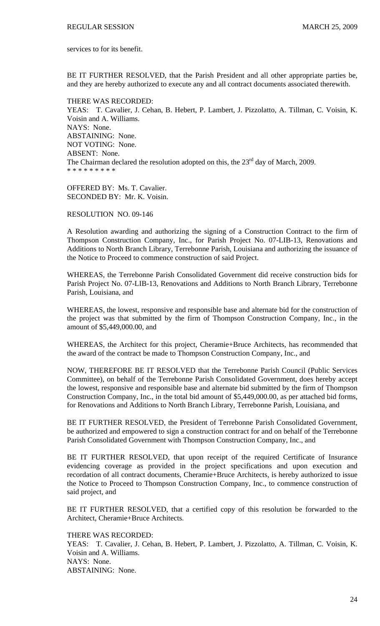services to for its benefit.

BE IT FURTHER RESOLVED, that the Parish President and all other appropriate parties be, and they are hereby authorized to execute any and all contract documents associated therewith.

THERE WAS RECORDED: YEAS: T. Cavalier, J. Cehan, B. Hebert, P. Lambert, J. Pizzolatto, A. Tillman, C. Voisin, K. Voisin and A. Williams. NAYS: None. ABSTAINING: None. NOT VOTING: None. ABSENT: None. The Chairman declared the resolution adopted on this, the  $23<sup>rd</sup>$  day of March, 2009. \* \* \* \* \* \* \* \* \*

OFFERED BY: Ms. T. Cavalier. SECONDED BY: Mr. K. Voisin.

RESOLUTION NO. 09-146

A Resolution awarding and authorizing the signing of a Construction Contract to the firm of Thompson Construction Company, Inc., for Parish Project No. 07-LIB-13, Renovations and Additions to North Branch Library, Terrebonne Parish, Louisiana and authorizing the issuance of the Notice to Proceed to commence construction of said Project.

WHEREAS, the Terrebonne Parish Consolidated Government did receive construction bids for Parish Project No. 07-LIB-13, Renovations and Additions to North Branch Library, Terrebonne Parish, Louisiana, and

WHEREAS, the lowest, responsive and responsible base and alternate bid for the construction of the project was that submitted by the firm of Thompson Construction Company, Inc., in the amount of \$5,449,000.00, and

WHEREAS, the Architect for this project, Cheramie+Bruce Architects, has recommended that the award of the contract be made to Thompson Construction Company, Inc., and

NOW, THEREFORE BE IT RESOLVED that the Terrebonne Parish Council (Public Services Committee), on behalf of the Terrebonne Parish Consolidated Government, does hereby accept the lowest, responsive and responsible base and alternate bid submitted by the firm of Thompson Construction Company, Inc., in the total bid amount of \$5,449,000.00, as per attached bid forms, for Renovations and Additions to North Branch Library, Terrebonne Parish, Louisiana, and

BE IT FURTHER RESOLVED, the President of Terrebonne Parish Consolidated Government, be authorized and empowered to sign a construction contract for and on behalf of the Terrebonne Parish Consolidated Government with Thompson Construction Company, Inc., and

BE IT FURTHER RESOLVED, that upon receipt of the required Certificate of Insurance evidencing coverage as provided in the project specifications and upon execution and recordation of all contract documents, Cheramie+Bruce Architects, is hereby authorized to issue the Notice to Proceed to Thompson Construction Company, Inc., to commence construction of said project, and

BE IT FURTHER RESOLVED, that a certified copy of this resolution be forwarded to the Architect, Cheramie+Bruce Architects.

THERE WAS RECORDED:

YEAS: T. Cavalier, J. Cehan, B. Hebert, P. Lambert, J. Pizzolatto, A. Tillman, C. Voisin, K. Voisin and A. Williams. NAYS: None. ABSTAINING: None.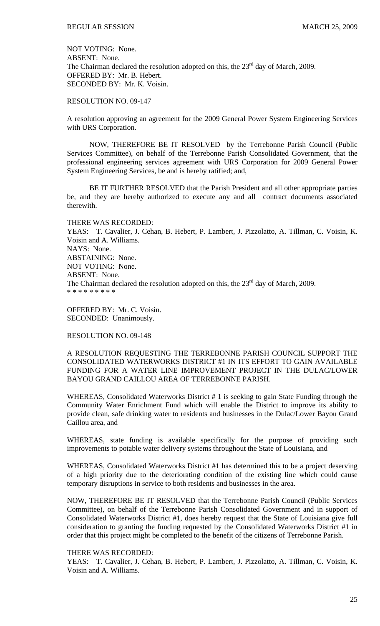NOT VOTING: None. ABSENT: None. The Chairman declared the resolution adopted on this, the  $23<sup>rd</sup>$  day of March, 2009. OFFERED BY: Mr. B. Hebert. SECONDED BY: Mr. K. Voisin.

RESOLUTION NO. 09-147

A resolution approving an agreement for the 2009 General Power System Engineering Services with URS Corporation.

 NOW, THEREFORE BE IT RESOLVED by the Terrebonne Parish Council (Public Services Committee), on behalf of the Terrebonne Parish Consolidated Government, that the professional engineering services agreement with URS Corporation for 2009 General Power System Engineering Services, be and is hereby ratified; and,

 BE IT FURTHER RESOLVED that the Parish President and all other appropriate parties be, and they are hereby authorized to execute any and all contract documents associated therewith.

THERE WAS RECORDED: YEAS: T. Cavalier, J. Cehan, B. Hebert, P. Lambert, J. Pizzolatto, A. Tillman, C. Voisin, K. Voisin and A. Williams. NAYS: None. ABSTAINING: None. NOT VOTING: None. ABSENT: None. The Chairman declared the resolution adopted on this, the  $23<sup>rd</sup>$  day of March, 2009. \* \* \* \* \* \* \* \* \*

OFFERED BY: Mr. C. Voisin. SECONDED: Unanimously.

RESOLUTION NO. 09-148

A RESOLUTION REQUESTING THE TERREBONNE PARISH COUNCIL SUPPORT THE CONSOLIDATED WATERWORKS DISTRICT #1 IN ITS EFFORT TO GAIN AVAILABLE FUNDING FOR A WATER LINE IMPROVEMENT PROJECT IN THE DULAC/LOWER BAYOU GRAND CAILLOU AREA OF TERREBONNE PARISH.

WHEREAS, Consolidated Waterworks District #1 is seeking to gain State Funding through the Community Water Enrichment Fund which will enable the District to improve its ability to provide clean, safe drinking water to residents and businesses in the Dulac/Lower Bayou Grand Caillou area, and

WHEREAS, state funding is available specifically for the purpose of providing such improvements to potable water delivery systems throughout the State of Louisiana, and

WHEREAS, Consolidated Waterworks District #1 has determined this to be a project deserving of a high priority due to the deteriorating condition of the existing line which could cause temporary disruptions in service to both residents and businesses in the area.

NOW, THEREFORE BE IT RESOLVED that the Terrebonne Parish Council (Public Services Committee), on behalf of the Terrebonne Parish Consolidated Government and in support of Consolidated Waterworks District #1, does hereby request that the State of Louisiana give full consideration to granting the funding requested by the Consolidated Waterworks District #1 in order that this project might be completed to the benefit of the citizens of Terrebonne Parish.

#### THERE WAS RECORDED:

YEAS: T. Cavalier, J. Cehan, B. Hebert, P. Lambert, J. Pizzolatto, A. Tillman, C. Voisin, K. Voisin and A. Williams.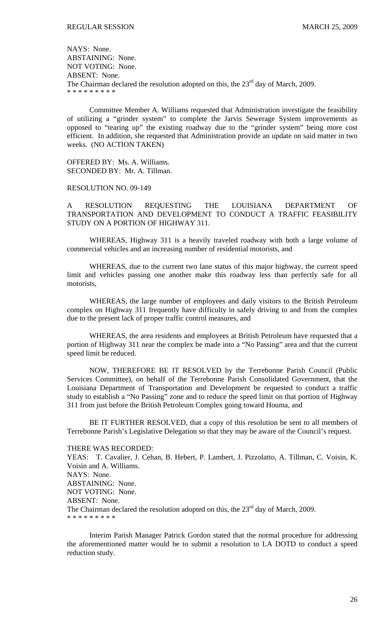NAYS: None. ABSTAINING: None. NOT VOTING: None. ABSENT: None. The Chairman declared the resolution adopted on this, the  $23<sup>rd</sup>$  day of March, 2009. \* \* \* \* \* \* \* \* \*

 Committee Member A. Williams requested that Administration investigate the feasibility of utilizing a "grinder system" to complete the Jarvis Sewerage System improvements as opposed to "tearing up" the existing roadway due to the "grinder system" being more cost efficient. In addition, she requested that Administration provide an update on said matter in two weeks. (NO ACTION TAKEN)

OFFERED BY: Ms. A. Williams. SECONDED BY: Mr. A. Tillman.

RESOLUTION NO. 09-149

A RESOLUTION REQUESTING THE LOUISIANA DEPARTMENT OF TRANSPORTATION AND DEVELOPMENT TO CONDUCT A TRAFFIC FEASIBILITY STUDY ON A PORTION OF HIGHWAY 311.

 WHEREAS, Highway 311 is a heavily traveled roadway with both a large volume of commercial vehicles and an increasing number of residential motorists, and

 WHEREAS, due to the current two lane status of this major highway, the current speed limit and vehicles passing one another make this roadway less than perfectly safe for all motorists,

 WHEREAS, the large number of employees and daily visitors to the British Petroleum complex on Highway 311 frequently have difficulty in safely driving to and from the complex due to the present lack of proper traffic control measures, and

 WHEREAS, the area residents and employees at British Petroleum have requested that a portion of Highway 311 near the complex be made into a "No Passing" area and that the current speed limit be reduced.

 NOW, THEREFORE BE IT RESOLVED by the Terrebonne Parish Council (Public Services Committee), on behalf of the Terrebonne Parish Consolidated Government, that the Louisiana Department of Transportation and Development be requested to conduct a traffic study to establish a "No Passing" zone and to reduce the speed limit on that portion of Highway 311 from just before the British Petroleum Complex going toward Houma, and

 BE IT FURTHER RESOLVED, that a copy of this resolution be sent to all members of Terrebonne Parish's Legislative Delegation so that they may be aware of the Council's request.

#### THERE WAS RECORDED:

YEAS: T. Cavalier, J. Cehan, B. Hebert, P. Lambert, J. Pizzolatto, A. Tillman, C. Voisin, K. Voisin and A. Williams. NAYS: None. ABSTAINING: None. NOT VOTING: None. ABSENT: None. The Chairman declared the resolution adopted on this, the  $23<sup>rd</sup>$  day of March, 2009. \* \* \* \* \* \* \* \* \*

 Interim Parish Manager Patrick Gordon stated that the normal procedure for addressing the aforementioned matter would be to submit a resolution to LA DOTD to conduct a speed reduction study.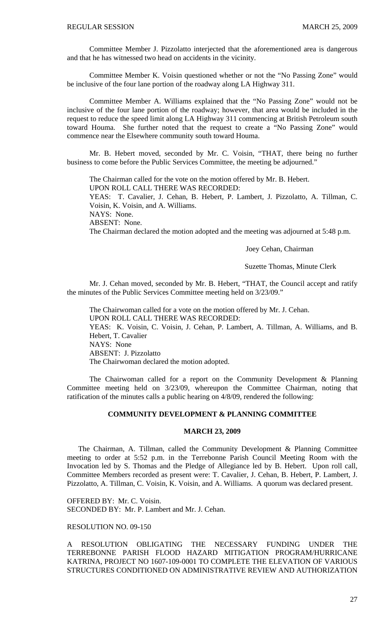Committee Member J. Pizzolatto interjected that the aforementioned area is dangerous and that he has witnessed two head on accidents in the vicinity.

 Committee Member K. Voisin questioned whether or not the "No Passing Zone" would be inclusive of the four lane portion of the roadway along LA Highway 311.

 Committee Member A. Williams explained that the "No Passing Zone" would not be inclusive of the four lane portion of the roadway; however, that area would be included in the request to reduce the speed limit along LA Highway 311 commencing at British Petroleum south toward Houma. She further noted that the request to create a "No Passing Zone" would commence near the Elsewhere community south toward Houma.

 Mr. B. Hebert moved, seconded by Mr. C. Voisin, "THAT, there being no further business to come before the Public Services Committee, the meeting be adjourned."

 The Chairman called for the vote on the motion offered by Mr. B. Hebert. UPON ROLL CALL THERE WAS RECORDED: YEAS: T. Cavalier, J. Cehan, B. Hebert, P. Lambert, J. Pizzolatto, A. Tillman, C.

Voisin, K. Voisin, and A. Williams.

NAYS: None.

ABSENT: None.

The Chairman declared the motion adopted and the meeting was adjourned at 5:48 p.m.

Joey Cehan, Chairman

Suzette Thomas, Minute Clerk

Mr. J. Cehan moved, seconded by Mr. B. Hebert, "THAT, the Council accept and ratify the minutes of the Public Services Committee meeting held on 3/23/09."

 The Chairwoman called for a vote on the motion offered by Mr. J. Cehan. UPON ROLL CALL THERE WAS RECORDED: YEAS: K. Voisin, C. Voisin, J. Cehan, P. Lambert, A. Tillman, A. Williams, and B. Hebert, T. Cavalier NAYS: None ABSENT: J. Pizzolatto The Chairwoman declared the motion adopted.

 The Chairwoman called for a report on the Community Development & Planning Committee meeting held on 3/23/09, whereupon the Committee Chairman, noting that ratification of the minutes calls a public hearing on 4/8/09, rendered the following:

### **COMMUNITY DEVELOPMENT & PLANNING COMMITTEE**

### **MARCH 23, 2009**

 The Chairman, A. Tillman, called the Community Development & Planning Committee meeting to order at 5:52 p.m. in the Terrebonne Parish Council Meeting Room with the Invocation led by S. Thomas and the Pledge of Allegiance led by B. Hebert. Upon roll call, Committee Members recorded as present were: T. Cavalier, J. Cehan, B. Hebert, P. Lambert, J. Pizzolatto, A. Tillman, C. Voisin, K. Voisin, and A. Williams. A quorum was declared present.

OFFERED BY: Mr. C. Voisin. SECONDED BY: Mr. P. Lambert and Mr. J. Cehan.

## RESOLUTION NO. 09-150

A RESOLUTION OBLIGATING THE NECESSARY FUNDING UNDER THE TERREBONNE PARISH FLOOD HAZARD MITIGATION PROGRAM/HURRICANE KATRINA, PROJECT NO 1607-109-0001 TO COMPLETE THE ELEVATION OF VARIOUS STRUCTURES CONDITIONED ON ADMINISTRATIVE REVIEW AND AUTHORIZATION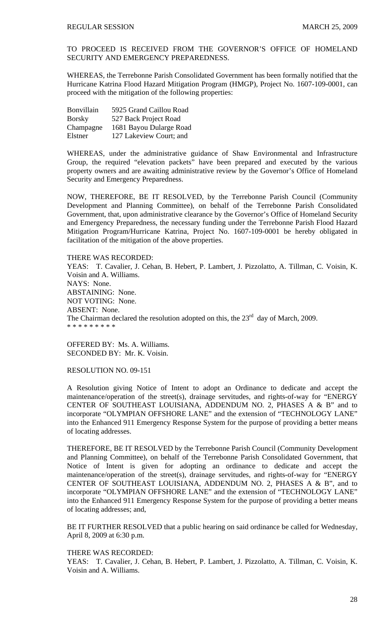TO PROCEED IS RECEIVED FROM THE GOVERNOR'S OFFICE OF HOMELAND SECURITY AND EMERGENCY PREPAREDNESS.

WHEREAS, the Terrebonne Parish Consolidated Government has been formally notified that the Hurricane Katrina Flood Hazard Mitigation Program (HMGP), Project No. 1607-109-0001, can proceed with the mitigation of the following properties:

| Bonvillain    | 5925 Grand Caillou Road |
|---------------|-------------------------|
| <b>Borsky</b> | 527 Back Project Road   |
| Champagne     | 1681 Bayou Dularge Road |
| Elstner       | 127 Lakeview Court; and |

WHEREAS, under the administrative guidance of Shaw Environmental and Infrastructure Group, the required "elevation packets" have been prepared and executed by the various property owners and are awaiting administrative review by the Governor's Office of Homeland Security and Emergency Preparedness.

NOW, THEREFORE, BE IT RESOLVED, by the Terrebonne Parish Council (Community Development and Planning Committee), on behalf of the Terrebonne Parish Consolidated Government, that, upon administrative clearance by the Governor's Office of Homeland Security and Emergency Preparedness, the necessary funding under the Terrebonne Parish Flood Hazard Mitigation Program/Hurricane Katrina, Project No. 1607-109-0001 be hereby obligated in facilitation of the mitigation of the above properties.

# THERE WAS RECORDED:

YEAS: T. Cavalier, J. Cehan, B. Hebert, P. Lambert, J. Pizzolatto, A. Tillman, C. Voisin, K. Voisin and A. Williams. NAYS: None. ABSTAINING: None. NOT VOTING: None. ABSENT: None. The Chairman declared the resolution adopted on this, the  $23<sup>rd</sup>$  day of March, 2009. \* \* \* \* \* \* \* \* \*

OFFERED BY: Ms. A. Williams. SECONDED BY: Mr. K. Voisin.

### RESOLUTION NO. 09-151

A Resolution giving Notice of Intent to adopt an Ordinance to dedicate and accept the maintenance/operation of the street(s), drainage servitudes, and rights-of-way for "ENERGY CENTER OF SOUTHEAST LOUISIANA, ADDENDUM NO. 2, PHASES A & B" and to incorporate "OLYMPIAN OFFSHORE LANE" and the extension of "TECHNOLOGY LANE" into the Enhanced 911 Emergency Response System for the purpose of providing a better means of locating addresses.

THEREFORE, BE IT RESOLVED by the Terrebonne Parish Council (Community Development and Planning Committee), on behalf of the Terrebonne Parish Consolidated Government, that Notice of Intent is given for adopting an ordinance to dedicate and accept the maintenance/operation of the street(s), drainage servitudes, and rights-of-way for "ENERGY CENTER OF SOUTHEAST LOUISIANA, ADDENDUM NO. 2, PHASES A & B", and to incorporate "OLYMPIAN OFFSHORE LANE" and the extension of "TECHNOLOGY LANE" into the Enhanced 911 Emergency Response System for the purpose of providing a better means of locating addresses; and,

BE IT FURTHER RESOLVED that a public hearing on said ordinance be called for Wednesday, April 8, 2009 at 6:30 p.m.

#### THERE WAS RECORDED:

YEAS: T. Cavalier, J. Cehan, B. Hebert, P. Lambert, J. Pizzolatto, A. Tillman, C. Voisin, K. Voisin and A. Williams.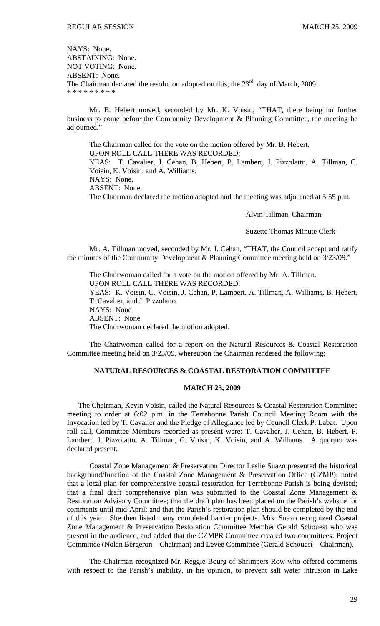NAYS: None. ABSTAINING: None. NOT VOTING: None. ABSENT: None. The Chairman declared the resolution adopted on this, the  $23<sup>rd</sup>$  day of March, 2009. \* \* \* \* \* \* \* \* \*

 Mr. B. Hebert moved, seconded by Mr. K. Voisin, "THAT, there being no further business to come before the Community Development & Planning Committee, the meeting be adjourned."

 The Chairman called for the vote on the motion offered by Mr. B. Hebert. UPON ROLL CALL THERE WAS RECORDED: YEAS: T. Cavalier, J. Cehan, B. Hebert, P. Lambert, J. Pizzolatto, A. Tillman, C. Voisin, K. Voisin, and A. Williams. NAYS: None. ABSENT: None. The Chairman declared the motion adopted and the meeting was adjourned at 5:55 p.m.

Alvin Tillman, Chairman

Suzette Thomas Minute Clerk

Mr. A. Tillman moved, seconded by Mr. J. Cehan, "THAT, the Council accept and ratify the minutes of the Community Development & Planning Committee meeting held on 3/23/09."

 The Chairwoman called for a vote on the motion offered by Mr. A. Tillman. UPON ROLL CALL THERE WAS RECORDED: YEAS: K. Voisin, C. Voisin, J. Cehan, P. Lambert, A. Tillman, A. Williams, B. Hebert, T. Cavalier, and J. Pizzolatto NAYS: None ABSENT: None The Chairwoman declared the motion adopted.

 The Chairwoman called for a report on the Natural Resources & Coastal Restoration Committee meeting held on 3/23/09, whereupon the Chairman rendered the following:

# **NATURAL RESOURCES & COASTAL RESTORATION COMMITTEE**

### **MARCH 23, 2009**

 The Chairman, Kevin Voisin, called the Natural Resources & Coastal Restoration Committee meeting to order at 6:02 p.m. in the Terrebonne Parish Council Meeting Room with the Invocation led by T. Cavalier and the Pledge of Allegiance led by Council Clerk P. Labat. Upon roll call, Committee Members recorded as present were: T. Cavalier, J. Cehan, B. Hebert, P. Lambert, J. Pizzolatto, A. Tillman, C. Voisin, K. Voisin, and A. Williams. A quorum was declared present.

 Coastal Zone Management & Preservation Director Leslie Suazo presented the historical background/function of the Coastal Zone Management & Preservation Office (CZMP); noted that a local plan for comprehensive coastal restoration for Terrebonne Parish is being devised; that a final draft comprehensive plan was submitted to the Coastal Zone Management & Restoration Advisory Committee; that the draft plan has been placed on the Parish's website for comments until mid-April; and that the Parish's restoration plan should be completed by the end of this year. She then listed many completed barrier projects. Mrs. Suazo recognized Coastal Zone Management & Preservation Restoration Committee Member Gerald Schouest who was present in the audience, and added that the CZMPR Committee created two committees: Project Committee (Nolan Bergeron – Chairman) and Levee Committee (Gerald Schouest – Chairman).

The Chairman recognized Mr. Reggie Bourg of Shrimpers Row who offered comments with respect to the Parish's inability, in his opinion, to prevent salt water intrusion in Lake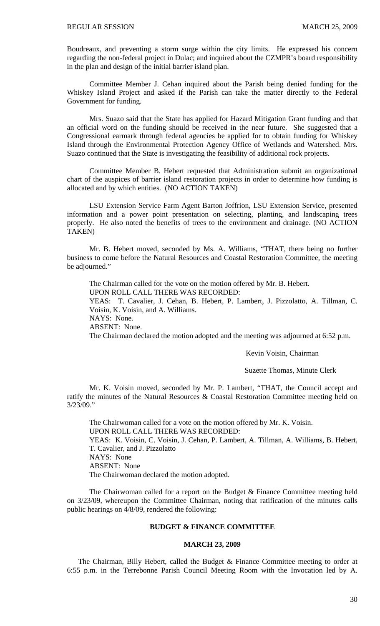Boudreaux, and preventing a storm surge within the city limits. He expressed his concern regarding the non-federal project in Dulac; and inquired about the CZMPR's board responsibility in the plan and design of the initial barrier island plan.

Committee Member J. Cehan inquired about the Parish being denied funding for the Whiskey Island Project and asked if the Parish can take the matter directly to the Federal Government for funding.

Mrs. Suazo said that the State has applied for Hazard Mitigation Grant funding and that an official word on the funding should be received in the near future. She suggested that a Congressional earmark through federal agencies be applied for to obtain funding for Whiskey Island through the Environmental Protection Agency Office of Wetlands and Watershed. Mrs. Suazo continued that the State is investigating the feasibility of additional rock projects.

Committee Member B. Hebert requested that Administration submit an organizational chart of the auspices of barrier island restoration projects in order to determine how funding is allocated and by which entities. (NO ACTION TAKEN)

 LSU Extension Service Farm Agent Barton Joffrion, LSU Extension Service, presented information and a power point presentation on selecting, planting, and landscaping trees properly. He also noted the benefits of trees to the environment and drainage. (NO ACTION TAKEN)

 Mr. B. Hebert moved, seconded by Ms. A. Williams, "THAT, there being no further business to come before the Natural Resources and Coastal Restoration Committee, the meeting be adjourned."

 The Chairman called for the vote on the motion offered by Mr. B. Hebert. UPON ROLL CALL THERE WAS RECORDED: YEAS: T. Cavalier, J. Cehan, B. Hebert, P. Lambert, J. Pizzolatto, A. Tillman, C. Voisin, K. Voisin, and A. Williams. NAYS: None. ABSENT: None. The Chairman declared the motion adopted and the meeting was adjourned at 6:52 p.m.

Kevin Voisin, Chairman

Suzette Thomas, Minute Clerk

Mr. K. Voisin moved, seconded by Mr. P. Lambert, "THAT, the Council accept and ratify the minutes of the Natural Resources & Coastal Restoration Committee meeting held on 3/23/09."

 The Chairwoman called for a vote on the motion offered by Mr. K. Voisin. UPON ROLL CALL THERE WAS RECORDED: YEAS: K. Voisin, C. Voisin, J. Cehan, P. Lambert, A. Tillman, A. Williams, B. Hebert, T. Cavalier, and J. Pizzolatto NAYS: None ABSENT: None The Chairwoman declared the motion adopted.

 The Chairwoman called for a report on the Budget & Finance Committee meeting held on 3/23/09, whereupon the Committee Chairman, noting that ratification of the minutes calls public hearings on 4/8/09, rendered the following:

## **BUDGET & FINANCE COMMITTEE**

## **MARCH 23, 2009**

 The Chairman, Billy Hebert, called the Budget & Finance Committee meeting to order at 6:55 p.m. in the Terrebonne Parish Council Meeting Room with the Invocation led by A.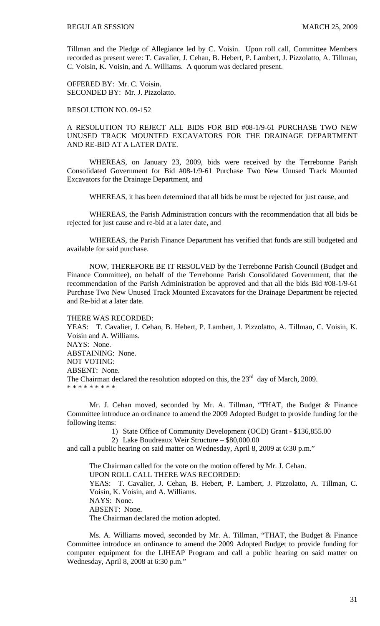Tillman and the Pledge of Allegiance led by C. Voisin. Upon roll call, Committee Members recorded as present were: T. Cavalier, J. Cehan, B. Hebert, P. Lambert, J. Pizzolatto, A. Tillman, C. Voisin, K. Voisin, and A. Williams. A quorum was declared present.

OFFERED BY: Mr. C. Voisin. SECONDED BY: Mr. J. Pizzolatto.

RESOLUTION NO. 09-152

A RESOLUTION TO REJECT ALL BIDS FOR BID #08-1/9-61 PURCHASE TWO NEW UNUSED TRACK MOUNTED EXCAVATORS FOR THE DRAINAGE DEPARTMENT AND RE-BID AT A LATER DATE.

WHEREAS, on January 23, 2009, bids were received by the Terrebonne Parish Consolidated Government for Bid #08-1/9-61 Purchase Two New Unused Track Mounted Excavators for the Drainage Department, and

WHEREAS, it has been determined that all bids be must be rejected for just cause, and

 WHEREAS, the Parish Administration concurs with the recommendation that all bids be rejected for just cause and re-bid at a later date, and

 WHEREAS, the Parish Finance Department has verified that funds are still budgeted and available for said purchase.

 NOW, THEREFORE BE IT RESOLVED by the Terrebonne Parish Council (Budget and Finance Committee), on behalf of the Terrebonne Parish Consolidated Government, that the recommendation of the Parish Administration be approved and that all the bids Bid #08-1/9-61 Purchase Two New Unused Track Mounted Excavators for the Drainage Department be rejected and Re-bid at a later date.

THERE WAS RECORDED: YEAS: T. Cavalier, J. Cehan, B. Hebert, P. Lambert, J. Pizzolatto, A. Tillman, C. Voisin, K. Voisin and A. Williams. NAYS: None. ABSTAINING: None. NOT VOTING: ABSENT: None. The Chairman declared the resolution adopted on this, the  $23<sup>rd</sup>$  day of March, 2009. \* \* \* \* \* \* \* \* \*

 Mr. J. Cehan moved, seconded by Mr. A. Tillman, "THAT, the Budget & Finance Committee introduce an ordinance to amend the 2009 Adopted Budget to provide funding for the following items:

1) State Office of Community Development (OCD) Grant - \$136,855.00

2) Lake Boudreaux Weir Structure – \$80,000.00

and call a public hearing on said matter on Wednesday, April 8, 2009 at 6:30 p.m."

 The Chairman called for the vote on the motion offered by Mr. J. Cehan. UPON ROLL CALL THERE WAS RECORDED: YEAS: T. Cavalier, J. Cehan, B. Hebert, P. Lambert, J. Pizzolatto, A. Tillman, C. Voisin, K. Voisin, and A. Williams. NAYS: None. ABSENT: None. The Chairman declared the motion adopted.

 Ms. A. Williams moved, seconded by Mr. A. Tillman, "THAT, the Budget & Finance Committee introduce an ordinance to amend the 2009 Adopted Budget to provide funding for computer equipment for the LIHEAP Program and call a public hearing on said matter on Wednesday, April 8, 2008 at 6:30 p.m."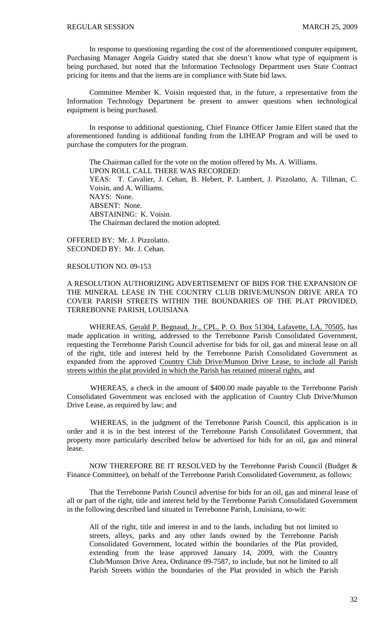In response to questioning regarding the cost of the aforementioned computer equipment, Purchasing Manager Angela Guidry stated that she doesn't know what type of equipment is being purchased, but noted that the Information Technology Department uses State Contract pricing for items and that the items are in compliance with State bid laws.

 Committee Member K. Voisin requested that, in the future, a representative from the Information Technology Department be present to answer questions when technological equipment is being purchased.

 In response to additional questioning, Chief Finance Officer Jamie Elfert stated that the aforementioned funding is additional funding from the LIHEAP Program and will be used to purchase the computers for the program.

 The Chairman called for the vote on the motion offered by Ms. A. Williams. UPON ROLL CALL THERE WAS RECORDED: YEAS: T. Cavalier, J. Cehan, B. Hebert, P. Lambert, J. Pizzolatto, A. Tillman, C. Voisin, and A. Williams. NAYS: None. ABSENT: None. ABSTAINING: K. Voisin. The Chairman declared the motion adopted.

OFFERED BY: Mr. J. Pizzolatto. SECONDED BY: Mr. J. Cehan.

# RESOLUTION NO. 09-153

A RESOLUTION AUTHORIZING ADVERTISEMENT OF BIDS FOR THE EXPANSION OF THE MINERAL LEASE IN THE COUNTRY CLUB DRIVE/MUNSON DRIVE AREA TO COVER PARISH STREETS WITHIN THE BOUNDARIES OF THE PLAT PROVIDED, TERREBONNE PARISH, LOUISIANA

 WHEREAS, Gerald P. Begnaud, Jr., CPL, P. O. Box 51304, Lafayette, LA, 70505, has made application in writing, addressed to the Terrebonne Parish Consolidated Government, requesting the Terrebonne Parish Council advertise for bids for oil, gas and mineral lease on all of the right, title and interest held by the Terrebonne Parish Consolidated Government as expanded from the approved Country Club Drive/Munson Drive Lease, to include all Parish streets within the plat provided in which the Parish has retained mineral rights, and

WHEREAS, a check in the amount of \$400.00 made payable to the Terrebonne Parish Consolidated Government was enclosed with the application of Country Club Drive/Munson Drive Lease, as required by law; and

WHEREAS, in the judgment of the Terrebonne Parish Council, this application is in order and it is in the best interest of the Terrebonne Parish Consolidated Government, that property more particularly described below be advertised for bids for an oil, gas and mineral lease.

NOW THEREFORE BE IT RESOLVED by the Terrebonne Parish Council (Budget & Finance Committee), on behalf of the Terrebonne Parish Consolidated Government, as follows:

That the Terrebonne Parish Council advertise for bids for an oil, gas and mineral lease of all or part of the right, title and interest held by the Terrebonne Parish Consolidated Government in the following described land situated in Terrebonne Parish, Louisiana, to-wit:

All of the right, title and interest in and to the lands, including but not limited to streets, alleys, parks and any other lands owned by the Terrebonne Parish Consolidated Government, located within the boundaries of the Plat provided, extending from the lease approved January 14, 2009, with the Country Club/Munson Drive Area, Ordinance 09-7587, to include, but not be limited to all Parish Streets within the boundaries of the Plat provided in which the Parish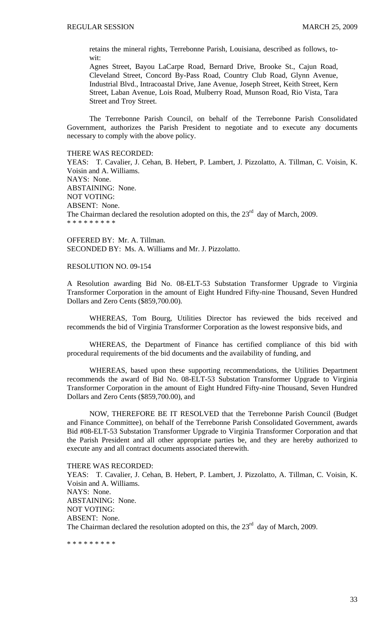retains the mineral rights, Terrebonne Parish, Louisiana, described as follows, towit:

Agnes Street, Bayou LaCarpe Road, Bernard Drive, Brooke St., Cajun Road, Cleveland Street, Concord By-Pass Road, Country Club Road, Glynn Avenue, Industrial Blvd., Intracoastal Drive, Jane Avenue, Joseph Street, Keith Street, Kern Street, Laban Avenue, Lois Road, Mulberry Road, Munson Road, Rio Vista, Tara Street and Troy Street.

 The Terrebonne Parish Council, on behalf of the Terrebonne Parish Consolidated Government, authorizes the Parish President to negotiate and to execute any documents necessary to comply with the above policy.

#### THERE WAS RECORDED:

YEAS: T. Cavalier, J. Cehan, B. Hebert, P. Lambert, J. Pizzolatto, A. Tillman, C. Voisin, K. Voisin and A. Williams. NAYS: None. ABSTAINING: None. NOT VOTING: ABSENT: None. The Chairman declared the resolution adopted on this, the  $23<sup>rd</sup>$  day of March, 2009. \* \* \* \* \* \* \* \* \*

OFFERED BY: Mr. A. Tillman. SECONDED BY: Ms. A. Williams and Mr. J. Pizzolatto.

## RESOLUTION NO. 09-154

A Resolution awarding Bid No. 08-ELT-53 Substation Transformer Upgrade to Virginia Transformer Corporation in the amount of Eight Hundred Fifty-nine Thousand, Seven Hundred Dollars and Zero Cents (\$859,700.00).

 WHEREAS, Tom Bourg, Utilities Director has reviewed the bids received and recommends the bid of Virginia Transformer Corporation as the lowest responsive bids, and

 WHEREAS, the Department of Finance has certified compliance of this bid with procedural requirements of the bid documents and the availability of funding, and

 WHEREAS, based upon these supporting recommendations, the Utilities Department recommends the award of Bid No. 08-ELT-53 Substation Transformer Upgrade to Virginia Transformer Corporation in the amount of Eight Hundred Fifty-nine Thousand, Seven Hundred Dollars and Zero Cents (\$859,700.00), and

 NOW, THEREFORE BE IT RESOLVED that the Terrebonne Parish Council (Budget and Finance Committee), on behalf of the Terrebonne Parish Consolidated Government, awards Bid #08-ELT-53 Substation Transformer Upgrade to Virginia Transformer Corporation and that the Parish President and all other appropriate parties be, and they are hereby authorized to execute any and all contract documents associated therewith.

#### THERE WAS RECORDED:

YEAS: T. Cavalier, J. Cehan, B. Hebert, P. Lambert, J. Pizzolatto, A. Tillman, C. Voisin, K. Voisin and A. Williams. NAYS: None. ABSTAINING: None. NOT VOTING: ABSENT: None. The Chairman declared the resolution adopted on this, the  $23<sup>rd</sup>$  day of March, 2009.

\* \* \* \* \* \* \* \* \*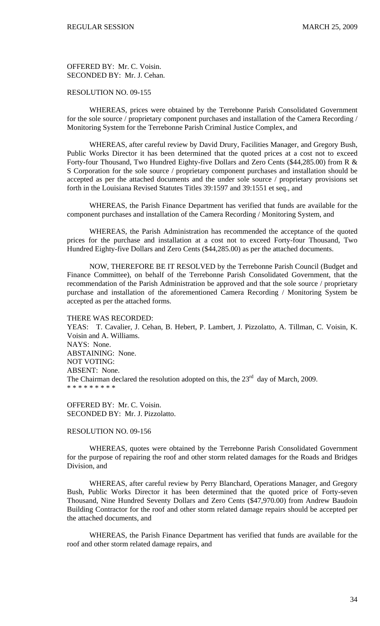OFFERED BY: Mr. C. Voisin. SECONDED BY: Mr. J. Cehan.

# RESOLUTION NO. 09-155

 WHEREAS, prices were obtained by the Terrebonne Parish Consolidated Government for the sole source / proprietary component purchases and installation of the Camera Recording / Monitoring System for the Terrebonne Parish Criminal Justice Complex, and

 WHEREAS, after careful review by David Drury, Facilities Manager, and Gregory Bush, Public Works Director it has been determined that the quoted prices at a cost not to exceed Forty-four Thousand, Two Hundred Eighty-five Dollars and Zero Cents (\$44,285.00) from R & S Corporation for the sole source / proprietary component purchases and installation should be accepted as per the attached documents and the under sole source / proprietary provisions set forth in the Louisiana Revised Statutes Titles 39:1597 and 39:1551 et seq., and

 WHEREAS, the Parish Finance Department has verified that funds are available for the component purchases and installation of the Camera Recording / Monitoring System, and

 WHEREAS, the Parish Administration has recommended the acceptance of the quoted prices for the purchase and installation at a cost not to exceed Forty-four Thousand, Two Hundred Eighty-five Dollars and Zero Cents (\$44,285.00) as per the attached documents.

 NOW, THEREFORE BE IT RESOLVED by the Terrebonne Parish Council (Budget and Finance Committee), on behalf of the Terrebonne Parish Consolidated Government, that the recommendation of the Parish Administration be approved and that the sole source / proprietary purchase and installation of the aforementioned Camera Recording / Monitoring System be accepted as per the attached forms.

THERE WAS RECORDED: YEAS: T. Cavalier, J. Cehan, B. Hebert, P. Lambert, J. Pizzolatto, A. Tillman, C. Voisin, K. Voisin and A. Williams. NAYS: None. ABSTAINING: None. NOT VOTING: ABSENT: None. The Chairman declared the resolution adopted on this, the  $23<sup>rd</sup>$  day of March, 2009. \* \* \* \* \* \* \* \* \*

OFFERED BY: Mr. C. Voisin. SECONDED BY: Mr. J. Pizzolatto.

### RESOLUTION NO. 09-156

 WHEREAS, quotes were obtained by the Terrebonne Parish Consolidated Government for the purpose of repairing the roof and other storm related damages for the Roads and Bridges Division, and

 WHEREAS, after careful review by Perry Blanchard, Operations Manager, and Gregory Bush, Public Works Director it has been determined that the quoted price of Forty-seven Thousand, Nine Hundred Seventy Dollars and Zero Cents (\$47,970.00) from Andrew Baudoin Building Contractor for the roof and other storm related damage repairs should be accepted per the attached documents, and

 WHEREAS, the Parish Finance Department has verified that funds are available for the roof and other storm related damage repairs, and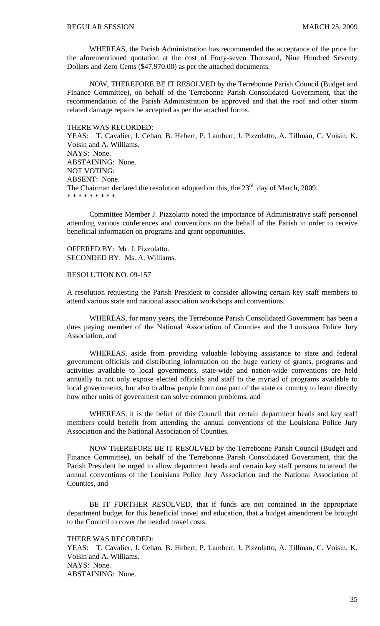WHEREAS, the Parish Administration has recommended the acceptance of the price for the aforementioned quotation at the cost of Forty-seven Thousand, Nine Hundred Seventy Dollars and Zero Cents (\$47,970.00) as per the attached documents.

 NOW, THEREFORE BE IT RESOLVED by the Terrebonne Parish Council (Budget and Finance Committee), on behalf of the Terrebonne Parish Consolidated Government, that the recommendation of the Parish Administration be approved and that the roof and other storm related damage repairs be accepted as per the attached forms.

### THERE WAS RECORDED:

YEAS: T. Cavalier, J. Cehan, B. Hebert, P. Lambert, J. Pizzolatto, A. Tillman, C. Voisin, K. Voisin and A. Williams. NAYS: None. ABSTAINING: None. NOT VOTING: ABSENT: None. The Chairman declared the resolution adopted on this, the  $23<sup>rd</sup>$  day of March, 2009. \* \* \* \* \* \* \* \* \*

 Committee Member J. Pizzolatto noted the importance of Administrative staff personnel attending various conferences and conventions on the behalf of the Parish in order to receive beneficial information on programs and grant opportunities.

OFFERED BY: Mr. J. Pizzolatto. SECONDED BY: Ms. A. Williams.

## RESOLUTION NO. 09-157

A resolution requesting the Parish President to consider allowing certain key staff members to attend various state and national association workshops and conventions.

 WHEREAS, for many years, the Terrebonne Parish Consolidated Government has been a dues paying member of the National Association of Counties and the Louisiana Police Jury Association, and

 WHEREAS, aside from providing valuable lobbying assistance to state and federal government officials and distributing information on the huge variety of grants, programs and activities available to local governments, state-wide and nation-wide conventions are held annually to not only expose elected officials and staff to the myriad of programs available to local governments, but also to allow people from one part of the state or country to learn directly how other units of government can solve common problems, and

 WHEREAS, it is the belief of this Council that certain department heads and key staff members could benefit from attending the annual conventions of the Louisiana Police Jury Association and the National Association of Counties.

NOW THEREFORE BE IT RESOLVED by the Terrebonne Parish Council (Budget and Finance Committee), on behalf of the Terrebonne Parish Consolidated Government, that the Parish President be urged to allow department heads and certain key staff persons to attend the annual conventions of the Louisiana Police Jury Association and the National Association of Counties, and

 BE IT FURTHER RESOLVED, that if funds are not contained in the appropriate department budget for this beneficial travel and education, that a budget amendment be brought to the Council to cover the needed travel costs.

## THERE WAS RECORDED:

YEAS: T. Cavalier, J. Cehan, B. Hebert, P. Lambert, J. Pizzolatto, A. Tillman, C. Voisin, K. Voisin and A. Williams. NAYS: None. ABSTAINING: None.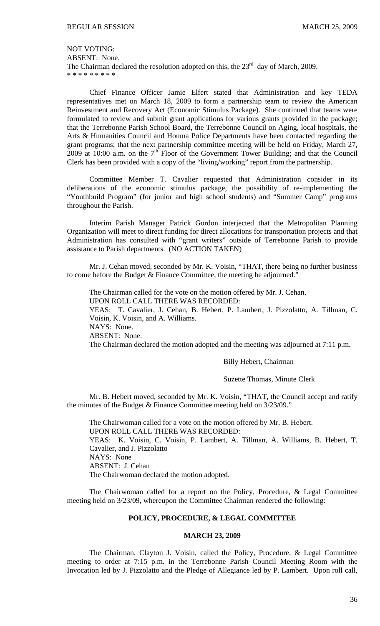NOT VOTING:

ABSENT: None.

The Chairman declared the resolution adopted on this, the  $23<sup>rd</sup>$  day of March, 2009. \* \* \* \* \* \* \* \* \*

 Chief Finance Officer Jamie Elfert stated that Administration and key TEDA representatives met on March 18, 2009 to form a partnership team to review the American Reinvestment and Recovery Act (Economic Stimulus Package). She continued that teams were formulated to review and submit grant applications for various grants provided in the package; that the Terrebonne Parish School Board, the Terrebonne Council on Aging, local hospitals, the Arts & Humanities Council and Houma Police Departments have been contacted regarding the grant programs; that the next partnership committee meeting will be held on Friday, March 27, 2009 at 10:00 a.m. on the  $7<sup>th</sup>$  Floor of the Government Tower Building; and that the Council Clerk has been provided with a copy of the "living/working" report from the partnership.

 Committee Member T. Cavalier requested that Administration consider in its deliberations of the economic stimulus package, the possibility of re-implementing the "Youthbuild Program" (for junior and high school students) and "Summer Camp" programs throughout the Parish.

 Interim Parish Manager Patrick Gordon interjected that the Metropolitan Planning Organization will meet to direct funding for direct allocations for transportation projects and that Administration has consulted with "grant writers" outside of Terrebonne Parish to provide assistance to Parish departments. (NO ACTION TAKEN)

 Mr. J. Cehan moved, seconded by Mr. K. Voisin, "THAT, there being no further business to come before the Budget & Finance Committee, the meeting be adjourned.'

 The Chairman called for the vote on the motion offered by Mr. J. Cehan. UPON ROLL CALL THERE WAS RECORDED: YEAS: T. Cavalier, J. Cehan, B. Hebert, P. Lambert, J. Pizzolatto, A. Tillman, C. Voisin, K. Voisin, and A. Williams. NAYS: None. ABSENT: None. The Chairman declared the motion adopted and the meeting was adjourned at 7:11 p.m.

Billy Hebert, Chairman

Suzette Thomas, Minute Clerk

 Mr. B. Hebert moved, seconded by Mr. K. Voisin, "THAT, the Council accept and ratify the minutes of the Budget & Finance Committee meeting held on 3/23/09."

 The Chairwoman called for a vote on the motion offered by Mr. B. Hebert. UPON ROLL CALL THERE WAS RECORDED: YEAS: K. Voisin, C. Voisin, P. Lambert, A. Tillman, A. Williams, B. Hebert, T. Cavalier, and J. Pizzolatto NAYS: None ABSENT: J. Cehan The Chairwoman declared the motion adopted.

 The Chairwoman called for a report on the Policy, Procedure, & Legal Committee meeting held on 3/23/09, whereupon the Committee Chairman rendered the following:

## **POLICY, PROCEDURE, & LEGAL COMMITTEE**

# **MARCH 23, 2009**

 The Chairman, Clayton J. Voisin, called the Policy, Procedure, & Legal Committee meeting to order at 7:15 p.m. in the Terrebonne Parish Council Meeting Room with the Invocation led by J. Pizzolatto and the Pledge of Allegiance led by P. Lambert. Upon roll call,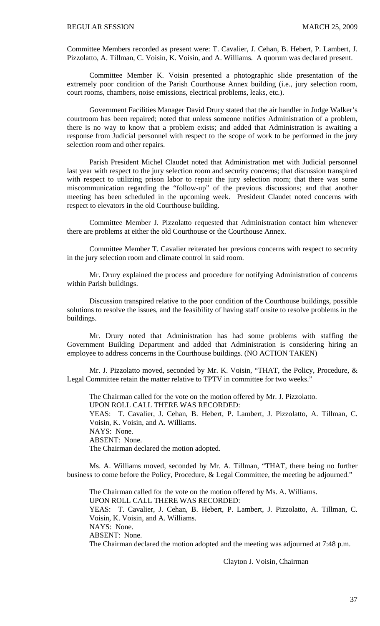Committee Members recorded as present were: T. Cavalier, J. Cehan, B. Hebert, P. Lambert, J. Pizzolatto, A. Tillman, C. Voisin, K. Voisin, and A. Williams. A quorum was declared present.

 Committee Member K. Voisin presented a photographic slide presentation of the extremely poor condition of the Parish Courthouse Annex building (i.e., jury selection room, court rooms, chambers, noise emissions, electrical problems, leaks, etc.).

 Government Facilities Manager David Drury stated that the air handler in Judge Walker's courtroom has been repaired; noted that unless someone notifies Administration of a problem, there is no way to know that a problem exists; and added that Administration is awaiting a response from Judicial personnel with respect to the scope of work to be performed in the jury selection room and other repairs.

 Parish President Michel Claudet noted that Administration met with Judicial personnel last year with respect to the jury selection room and security concerns; that discussion transpired with respect to utilizing prison labor to repair the jury selection room; that there was some miscommunication regarding the "follow-up" of the previous discussions; and that another meeting has been scheduled in the upcoming week. President Claudet noted concerns with respect to elevators in the old Courthouse building.

 Committee Member J. Pizzolatto requested that Administration contact him whenever there are problems at either the old Courthouse or the Courthouse Annex.

 Committee Member T. Cavalier reiterated her previous concerns with respect to security in the jury selection room and climate control in said room.

Mr. Drury explained the process and procedure for notifying Administration of concerns within Parish buildings.

 Discussion transpired relative to the poor condition of the Courthouse buildings, possible solutions to resolve the issues, and the feasibility of having staff onsite to resolve problems in the buildings.

Mr. Drury noted that Administration has had some problems with staffing the Government Building Department and added that Administration is considering hiring an employee to address concerns in the Courthouse buildings. (NO ACTION TAKEN)

 Mr. J. Pizzolatto moved, seconded by Mr. K. Voisin, "THAT, the Policy, Procedure, & Legal Committee retain the matter relative to TPTV in committee for two weeks.'

 The Chairman called for the vote on the motion offered by Mr. J. Pizzolatto. UPON ROLL CALL THERE WAS RECORDED:

YEAS: T. Cavalier, J. Cehan, B. Hebert, P. Lambert, J. Pizzolatto, A. Tillman, C. Voisin, K. Voisin, and A. Williams.

NAYS: None.

ABSENT: None.

The Chairman declared the motion adopted.

 Ms. A. Williams moved, seconded by Mr. A. Tillman, "THAT, there being no further business to come before the Policy, Procedure, & Legal Committee, the meeting be adjourned."

 The Chairman called for the vote on the motion offered by Ms. A. Williams. UPON ROLL CALL THERE WAS RECORDED: YEAS: T. Cavalier, J. Cehan, B. Hebert, P. Lambert, J. Pizzolatto, A. Tillman, C. Voisin, K. Voisin, and A. Williams. NAYS: None. ABSENT: None. The Chairman declared the motion adopted and the meeting was adjourned at 7:48 p.m.

Clayton J. Voisin, Chairman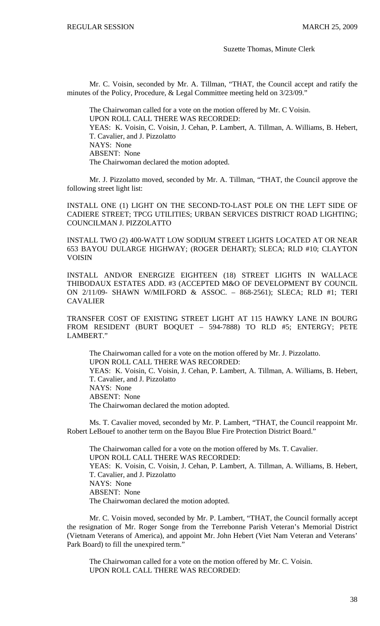### Suzette Thomas, Minute Clerk

Mr. C. Voisin, seconded by Mr. A. Tillman, "THAT, the Council accept and ratify the minutes of the Policy, Procedure, & Legal Committee meeting held on 3/23/09."

 The Chairwoman called for a vote on the motion offered by Mr. C Voisin. UPON ROLL CALL THERE WAS RECORDED: YEAS: K. Voisin, C. Voisin, J. Cehan, P. Lambert, A. Tillman, A. Williams, B. Hebert, T. Cavalier, and J. Pizzolatto NAYS: None ABSENT: None The Chairwoman declared the motion adopted.

 Mr. J. Pizzolatto moved, seconded by Mr. A. Tillman, "THAT, the Council approve the following street light list:

INSTALL ONE (1) LIGHT ON THE SECOND-TO-LAST POLE ON THE LEFT SIDE OF CADIERE STREET; TPCG UTILITIES; URBAN SERVICES DISTRICT ROAD LIGHTING; COUNCILMAN J. PIZZOLATTO

INSTALL TWO (2) 400-WATT LOW SODIUM STREET LIGHTS LOCATED AT OR NEAR 653 BAYOU DULARGE HIGHWAY; (ROGER DEHART); SLECA; RLD #10; CLAYTON VOISIN

INSTALL AND/OR ENERGIZE EIGHTEEN (18) STREET LIGHTS IN WALLACE THIBODAUX ESTATES ADD. #3 (ACCEPTED M&O OF DEVELOPMENT BY COUNCIL ON 2/11/09- SHAWN W/MILFORD & ASSOC. – 868-2561); SLECA; RLD #1; TERI **CAVALIER** 

TRANSFER COST OF EXISTING STREET LIGHT AT 115 HAWKY LANE IN BOURG FROM RESIDENT (BURT BOQUET – 594-7888) TO RLD #5; ENTERGY; PETE LAMBERT."

The Chairwoman called for a vote on the motion offered by Mr. J. Pizzolatto. UPON ROLL CALL THERE WAS RECORDED: YEAS: K. Voisin, C. Voisin, J. Cehan, P. Lambert, A. Tillman, A. Williams, B. Hebert, T. Cavalier, and J. Pizzolatto NAYS: None ABSENT: None The Chairwoman declared the motion adopted.

 Ms. T. Cavalier moved, seconded by Mr. P. Lambert, "THAT, the Council reappoint Mr. Robert LeBouef to another term on the Bayou Blue Fire Protection District Board."

 The Chairwoman called for a vote on the motion offered by Ms. T. Cavalier. UPON ROLL CALL THERE WAS RECORDED: YEAS: K. Voisin, C. Voisin, J. Cehan, P. Lambert, A. Tillman, A. Williams, B. Hebert, T. Cavalier, and J. Pizzolatto NAYS: None ABSENT: None The Chairwoman declared the motion adopted.

Mr. C. Voisin moved, seconded by Mr. P. Lambert, "THAT, the Council formally accept the resignation of Mr. Roger Songe from the Terrebonne Parish Veteran's Memorial District (Vietnam Veterans of America), and appoint Mr. John Hebert (Viet Nam Veteran and Veterans' Park Board) to fill the unexpired term."

The Chairwoman called for a vote on the motion offered by Mr. C. Voisin. UPON ROLL CALL THERE WAS RECORDED: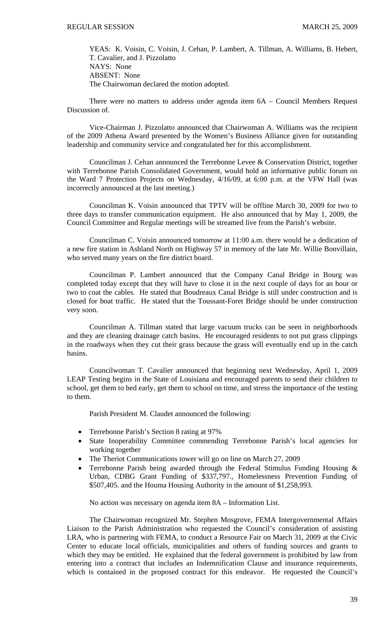YEAS: K. Voisin, C. Voisin, J. Cehan, P. Lambert, A. Tillman, A. Williams, B. Hebert, T. Cavalier, and J. Pizzolatto NAYS: None ABSENT: None The Chairwoman declared the motion adopted.

 There were no matters to address under agenda item 6A – Council Members Request Discussion of.

 Vice-Chairman J. Pizzolatto announced that Chairwoman A. Williams was the recipient of the 2009 Athena Award presented by the Women's Business Alliance given for outstanding leadership and community service and congratulated her for this accomplishment.

 Councilman J. Cehan announced the Terrebonne Levee & Conservation District, together with Terrebonne Parish Consolidated Government, would hold an informative public forum on the Ward 7 Protection Projects on Wednesday, 4/16/09, at 6:00 p.m. at the VFW Hall (was incorrectly announced at the last meeting.)

 Councilman K. Voisin announced that TPTV will be offline March 30, 2009 for two to three days to transfer communication equipment. He also announced that by May 1, 2009, the Council Committee and Regular meetings will be streamed live from the Parish's website.

 Councilman C. Voisin announced tomorrow at 11:00 a.m. there would be a dedication of a new fire station in Ashland North on Highway 57 in memory of the late Mr. Willie Bonvillain, who served many years on the fire district board.

 Councilman P. Lambert announced that the Company Canal Bridge in Bourg was completed today except that they will have to close it in the next couple of days for an hour or two to coat the cables. He stated that Boudreaux Canal Bridge is still under construction and is closed for boat traffic. He stated that the Toussant-Foret Bridge should be under construction very soon.

 Councilman A. Tillman stated that large vacuum trucks can be seen in neighborhoods and they are cleaning drainage catch basins. He encouraged residents to not put grass clippings in the roadways when they cut their grass because the grass will eventually end up in the catch basins.

 Councilwoman T. Cavalier announced that beginning next Wednesday, April 1, 2009 LEAP Testing begins in the State of Louisiana and encouraged parents to send their children to school, get them to bed early, get them to school on time, and stress the importance of the testing to them.

Parish President M. Claudet announced the following:

- Terrebonne Parish's Section 8 rating at 97%
- State Inoperability Committee commending Terrebonne Parish's local agencies for working together
- The Theriot Communications tower will go on line on March 27, 2009
- Terrebonne Parish being awarded through the Federal Stimulus Funding Housing  $\&$ Urban, CDBG Grant Funding of \$337,797., Homelessness Prevention Funding of \$507,405. and the Houma Housing Authority in the amount of \$1,258,993.

No action was necessary on agenda item 8A – Information List.

 The Chairwoman recognized Mr. Stephen Mosgrove, FEMA Intergovernmental Affairs Liaison to the Parish Administration who requested the Council's consideration of assisting LRA, who is partnering with FEMA, to conduct a Resource Fair on March 31, 2009 at the Civic Center to educate local officials, municipalities and others of funding sources and grants to which they may be entitled. He explained that the federal government is prohibited by law from entering into a contract that includes an Indemnification Clause and insurance requirements, which is contained in the proposed contract for this endeavor. He requested the Council's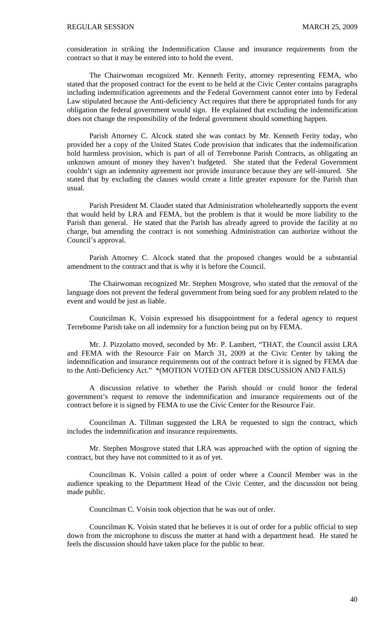consideration in striking the Indemnification Clause and insurance requirements from the contract so that it may be entered into to hold the event.

 The Chairwoman recognized Mr. Kenneth Ferity, attorney representing FEMA, who stated that the proposed contract for the event to be held at the Civic Center contains paragraphs including indemnification agreements and the Federal Government cannot enter into by Federal Law stipulated because the Anti-deficiency Act requires that there be appropriated funds for any obligation the federal government would sign. He explained that excluding the indemnification does not change the responsibility of the federal government should something happen.

 Parish Attorney C. Alcock stated she was contact by Mr. Kenneth Ferity today, who provided her a copy of the United States Code provision that indicates that the indemnification hold harmless provision, which is part of all of Terrebonne Parish Contracts, as obligating an unknown amount of money they haven't budgeted. She stated that the Federal Government couldn't sign an indemnity agreement nor provide insurance because they are self-insured. She stated that by excluding the clauses would create a little greater exposure for the Parish than usual.

 Parish President M. Claudet stated that Administration wholeheartedly supports the event that would held by LRA and FEMA, but the problem is that it would be more liability to the Parish than general. He stated that the Parish has already agreed to provide the facility at no charge, but amending the contract is not something Administration can authorize without the Council's approval.

 Parish Attorney C. Alcock stated that the proposed changes would be a substantial amendment to the contract and that is why it is before the Council.

 The Chairwoman recognized Mr. Stephen Mosgrove, who stated that the removal of the language does not prevent the federal government from being sued for any problem related to the event and would be just as liable.

 Councilman K. Voisin expressed his disappointment for a federal agency to request Terrebonne Parish take on all indemnity for a function being put on by FEMA.

 Mr. J. Pizzolatto moved, seconded by Mr. P. Lambert, "THAT, the Council assist LRA and FEMA with the Resource Fair on March 31, 2009 at the Civic Center by taking the indemnification and insurance requirements out of the contract before it is signed by FEMA due to the Anti-Deficiency Act." \*(MOTION VOTED ON AFTER DISCUSSION AND FAILS)

A discussion relative to whether the Parish should or could honor the federal government's request to remove the indemnification and insurance requirements out of the contract before it is signed by FEMA to use the Civic Center for the Resource Fair.

 Councilman A. Tillman suggested the LRA be requested to sign the contract, which includes the indemnification and insurance requirements.

 Mr. Stephen Mosgrove stated that LRA was approached with the option of signing the contract, but they have not committed to it as of yet.

 Councilman K. Voisin called a point of order where a Council Member was in the audience speaking to the Department Head of the Civic Center, and the discussion not being made public.

Councilman C. Voisin took objection that he was out of order.

 Councilman K. Voisin stated that he believes it is out of order for a public official to step down from the microphone to discuss the matter at hand with a department head. He stated he feels the discussion should have taken place for the public to hear.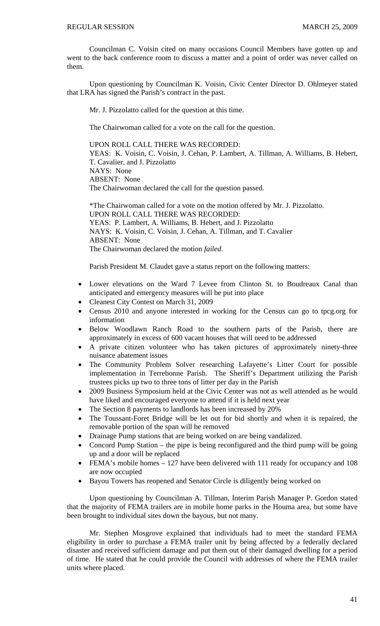Councilman C. Voisin cited on many occasions Council Members have gotten up and went to the back conference room to discuss a matter and a point of order was never called on them.

 Upon questioning by Councilman K. Voisin, Civic Center Director D. Ohlmeyer stated that LRA has signed the Parish's contract in the past.

Mr. J. Pizzolatto called for the question at this time.

The Chairwoman called for a vote on the call for the question.

UPON ROLL CALL THERE WAS RECORDED: YEAS: K. Voisin, C. Voisin, J. Cehan, P. Lambert, A. Tillman, A. Williams, B. Hebert, T. Cavalier, and J. Pizzolatto NAYS: None ABSENT: None The Chairwoman declared the call for the question passed.

 \*The Chairwoman called for a vote on the motion offered by Mr. J. Pizzolatto. UPON ROLL CALL THERE WAS RECORDED: YEAS: P. Lambert, A. Williams, B. Hebert, and J. Pizzolatto NAYS: K. Voisin, C. Voisin, J. Cehan, A. Tillman, and T. Cavalier ABSENT: None The Chairwoman declared the motion *failed*.

Parish President M. Claudet gave a status report on the following matters:

- Lower elevations on the Ward 7 Levee from Clinton St. to Boudreaux Canal than anticipated and emergency measures will be put into place
- Cleanest City Contest on March 31, 2009
- Census 2010 and anyone interested in working for the Census can go to tpcg.org for information
- Below Woodlawn Ranch Road to the southern parts of the Parish, there are approximately in excess of 600 vacant houses that will need to be addressed
- A private citizen volunteer who has taken pictures of approximately ninety-three nuisance abatement issues
- The Community Problem Solver researching Lafayette's Litter Court for possible implementation in Terrebonne Parish. The Sheriff's Department utilizing the Parish trustees picks up two to three tons of litter per day in the Parish
- 2009 Business Symposium held at the Civic Center was not as well attended as he would have liked and encouraged everyone to attend if it is held next year
- The Section 8 payments to landlords has been increased by 20%
- The Toussant-Foret Bridge will be let out for bid shortly and when it is repaired, the removable portion of the span will be removed
- Drainage Pump stations that are being worked on are being vandalized.
- Concord Pump Station the pipe is being reconfigured and the third pump will be going up and a door will be replaced
- FEMA's mobile homes 127 have been delivered with 111 ready for occupancy and 108 are now occupied
- Bayou Towers has reopened and Senator Circle is diligently being worked on

Upon questioning by Councilman A. Tillman, Interim Parish Manager P. Gordon stated that the majority of FEMA trailers are in mobile home parks in the Houma area, but some have been brought to individual sites down the bayous, but not many.

Mr. Stephen Mosgrove explained that individuals had to meet the standard FEMA eligibility in order to purchase a FEMA trailer unit by being affected by a federally declared disaster and received sufficient damage and put them out of their damaged dwelling for a period of time. He stated that he could provide the Council with addresses of where the FEMA trailer units where placed.